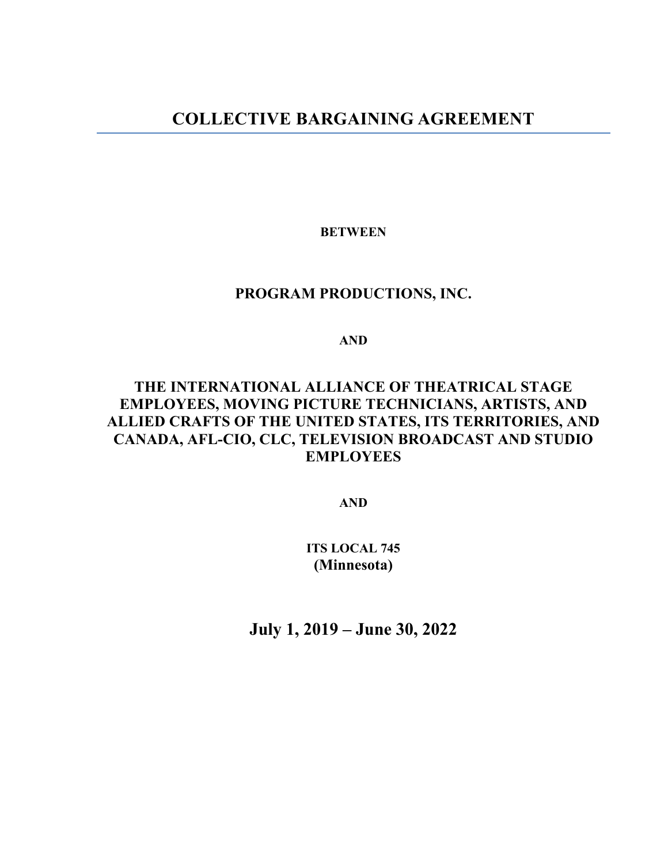# **COLLECTIVE BARGAINING AGREEMENT**

**BETWEEN**

# **PROGRAM PRODUCTIONS, INC.**

**AND**

# **THE INTERNATIONAL ALLIANCE OF THEATRICAL STAGE EMPLOYEES, MOVING PICTURE TECHNICIANS, ARTISTS, AND ALLIED CRAFTS OF THE UNITED STATES, ITS TERRITORIES, AND CANADA, AFL-CIO, CLC, TELEVISION BROADCAST AND STUDIO EMPLOYEES**

**AND**

**ITS LOCAL 745 (Minnesota)**

**July 1, 2019 – June 30, 2022**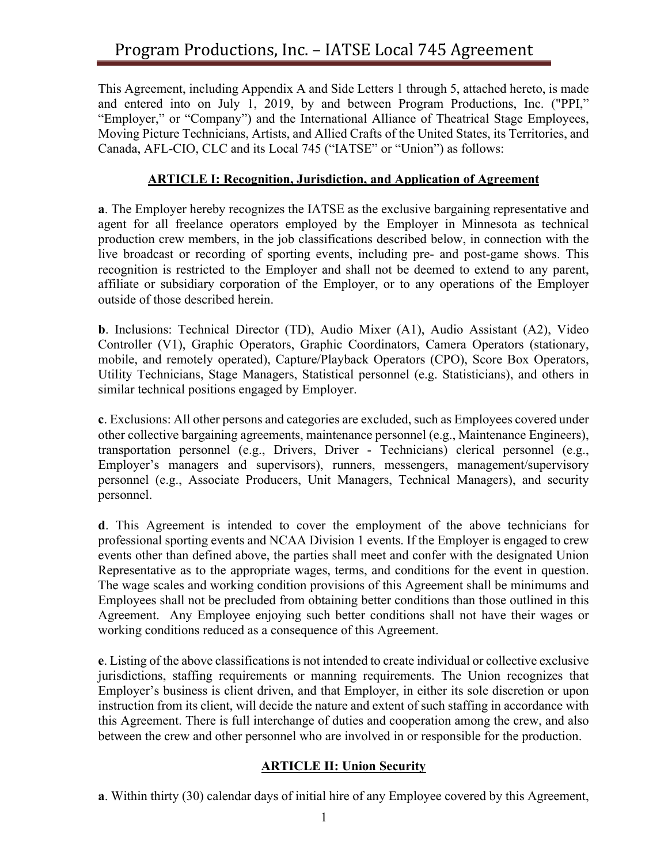This Agreement, including Appendix A and Side Letters 1 through 5, attached hereto, is made and entered into on July 1, 2019, by and between Program Productions, Inc. ("PPI," "Employer," or "Company") and the International Alliance of Theatrical Stage Employees, Moving Picture Technicians, Artists, and Allied Crafts of the United States, its Territories, and Canada, AFL-CIO, CLC and its Local 745 ("IATSE" or "Union") as follows:

## **ARTICLE I: Recognition, Jurisdiction, and Application of Agreement**

**a**. The Employer hereby recognizes the IATSE as the exclusive bargaining representative and agent for all freelance operators employed by the Employer in Minnesota as technical production crew members, in the job classifications described below, in connection with the live broadcast or recording of sporting events, including pre- and post-game shows. This recognition is restricted to the Employer and shall not be deemed to extend to any parent, affiliate or subsidiary corporation of the Employer, or to any operations of the Employer outside of those described herein.

**b**. Inclusions: Technical Director (TD), Audio Mixer (A1), Audio Assistant (A2), Video Controller (V1), Graphic Operators, Graphic Coordinators, Camera Operators (stationary, mobile, and remotely operated), Capture/Playback Operators (CPO), Score Box Operators, Utility Technicians, Stage Managers, Statistical personnel (e.g. Statisticians), and others in similar technical positions engaged by Employer.

**c**. Exclusions: All other persons and categories are excluded, such as Employees covered under other collective bargaining agreements, maintenance personnel (e.g., Maintenance Engineers), transportation personnel (e.g., Drivers, Driver - Technicians) clerical personnel (e.g., Employer's managers and supervisors), runners, messengers, management/supervisory personnel (e.g., Associate Producers, Unit Managers, Technical Managers), and security personnel.

**d**. This Agreement is intended to cover the employment of the above technicians for professional sporting events and NCAA Division 1 events. If the Employer is engaged to crew events other than defined above, the parties shall meet and confer with the designated Union Representative as to the appropriate wages, terms, and conditions for the event in question. The wage scales and working condition provisions of this Agreement shall be minimums and Employees shall not be precluded from obtaining better conditions than those outlined in this Agreement. Any Employee enjoying such better conditions shall not have their wages or working conditions reduced as a consequence of this Agreement.

**e**. Listing of the above classifications is not intended to create individual or collective exclusive jurisdictions, staffing requirements or manning requirements. The Union recognizes that Employer's business is client driven, and that Employer, in either its sole discretion or upon instruction from its client, will decide the nature and extent of such staffing in accordance with this Agreement. There is full interchange of duties and cooperation among the crew, and also between the crew and other personnel who are involved in or responsible for the production.

#### **ARTICLE II: Union Security**

**a**. Within thirty (30) calendar days of initial hire of any Employee covered by this Agreement,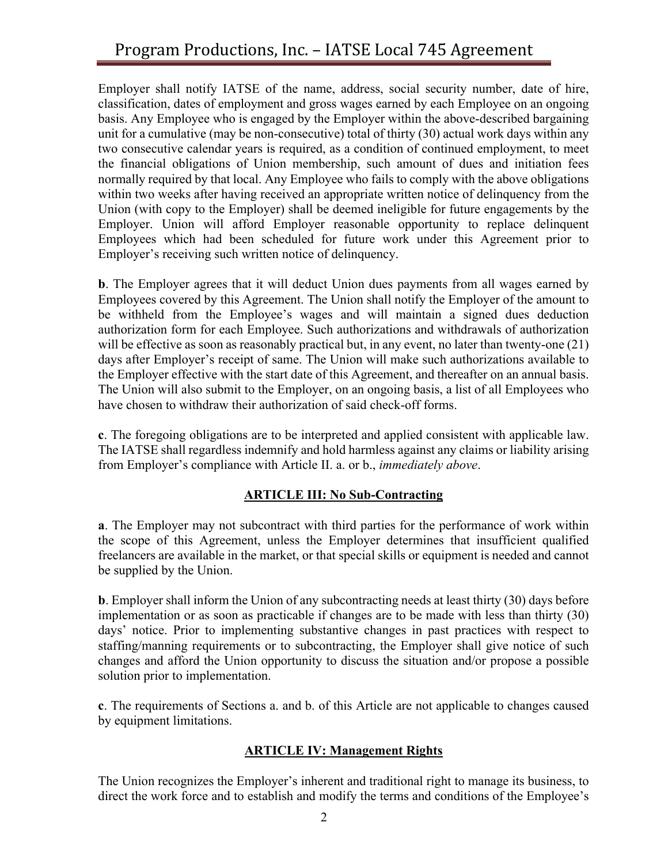Employer shall notify IATSE of the name, address, social security number, date of hire, classification, dates of employment and gross wages earned by each Employee on an ongoing basis. Any Employee who is engaged by the Employer within the above-described bargaining unit for a cumulative (may be non-consecutive) total of thirty (30) actual work days within any two consecutive calendar years is required, as a condition of continued employment, to meet the financial obligations of Union membership, such amount of dues and initiation fees normally required by that local. Any Employee who fails to comply with the above obligations within two weeks after having received an appropriate written notice of delinquency from the Union (with copy to the Employer) shall be deemed ineligible for future engagements by the Employer. Union will afford Employer reasonable opportunity to replace delinquent Employees which had been scheduled for future work under this Agreement prior to Employer's receiving such written notice of delinquency.

**b**. The Employer agrees that it will deduct Union dues payments from all wages earned by Employees covered by this Agreement. The Union shall notify the Employer of the amount to be withheld from the Employee's wages and will maintain a signed dues deduction authorization form for each Employee. Such authorizations and withdrawals of authorization will be effective as soon as reasonably practical but, in any event, no later than twenty-one (21) days after Employer's receipt of same. The Union will make such authorizations available to the Employer effective with the start date of this Agreement, and thereafter on an annual basis. The Union will also submit to the Employer, on an ongoing basis, a list of all Employees who have chosen to withdraw their authorization of said check-off forms.

**c**. The foregoing obligations are to be interpreted and applied consistent with applicable law. The IATSE shall regardless indemnify and hold harmless against any claims or liability arising from Employer's compliance with Article II. a. or b., *immediately above*.

# **ARTICLE III: No Sub-Contracting**

**a**. The Employer may not subcontract with third parties for the performance of work within the scope of this Agreement, unless the Employer determines that insufficient qualified freelancers are available in the market, or that special skills or equipment is needed and cannot be supplied by the Union.

**b**. Employer shall inform the Union of any subcontracting needs at least thirty (30) days before implementation or as soon as practicable if changes are to be made with less than thirty (30) days' notice. Prior to implementing substantive changes in past practices with respect to staffing/manning requirements or to subcontracting, the Employer shall give notice of such changes and afford the Union opportunity to discuss the situation and/or propose a possible solution prior to implementation.

**c**. The requirements of Sections a. and b. of this Article are not applicable to changes caused by equipment limitations.

# **ARTICLE IV: Management Rights**

The Union recognizes the Employer's inherent and traditional right to manage its business, to direct the work force and to establish and modify the terms and conditions of the Employee's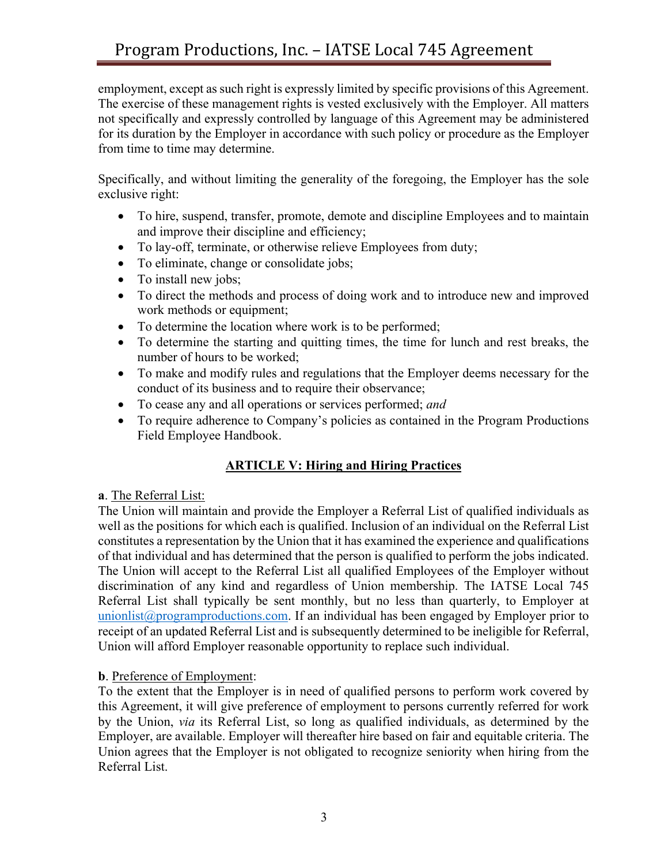employment, except as such right is expressly limited by specific provisions of this Agreement. The exercise of these management rights is vested exclusively with the Employer. All matters not specifically and expressly controlled by language of this Agreement may be administered for its duration by the Employer in accordance with such policy or procedure as the Employer from time to time may determine.

Specifically, and without limiting the generality of the foregoing, the Employer has the sole exclusive right:

- To hire, suspend, transfer, promote, demote and discipline Employees and to maintain and improve their discipline and efficiency;
- To lay-off, terminate, or otherwise relieve Employees from duty;
- To eliminate, change or consolidate jobs;
- To install new jobs;
- To direct the methods and process of doing work and to introduce new and improved work methods or equipment;
- To determine the location where work is to be performed;
- To determine the starting and quitting times, the time for lunch and rest breaks, the number of hours to be worked;
- To make and modify rules and regulations that the Employer deems necessary for the conduct of its business and to require their observance;
- To cease any and all operations or services performed; *and*
- To require adherence to Company's policies as contained in the Program Productions Field Employee Handbook.

# **ARTICLE V: Hiring and Hiring Practices**

#### **a**. The Referral List:

The Union will maintain and provide the Employer a Referral List of qualified individuals as well as the positions for which each is qualified. Inclusion of an individual on the Referral List constitutes a representation by the Union that it has examined the experience and qualifications of that individual and has determined that the person is qualified to perform the jobs indicated. The Union will accept to the Referral List all qualified Employees of the Employer without discrimination of any kind and regardless of Union membership. The IATSE Local 745 Referral List shall typically be sent monthly, but no less than quarterly, to Employer at unionlist@programproductions.com. If an individual has been engaged by Employer prior to receipt of an updated Referral List and is subsequently determined to be ineligible for Referral, Union will afford Employer reasonable opportunity to replace such individual.

#### **b**. Preference of Employment:

To the extent that the Employer is in need of qualified persons to perform work covered by this Agreement, it will give preference of employment to persons currently referred for work by the Union, *via* its Referral List, so long as qualified individuals, as determined by the Employer, are available. Employer will thereafter hire based on fair and equitable criteria. The Union agrees that the Employer is not obligated to recognize seniority when hiring from the Referral List.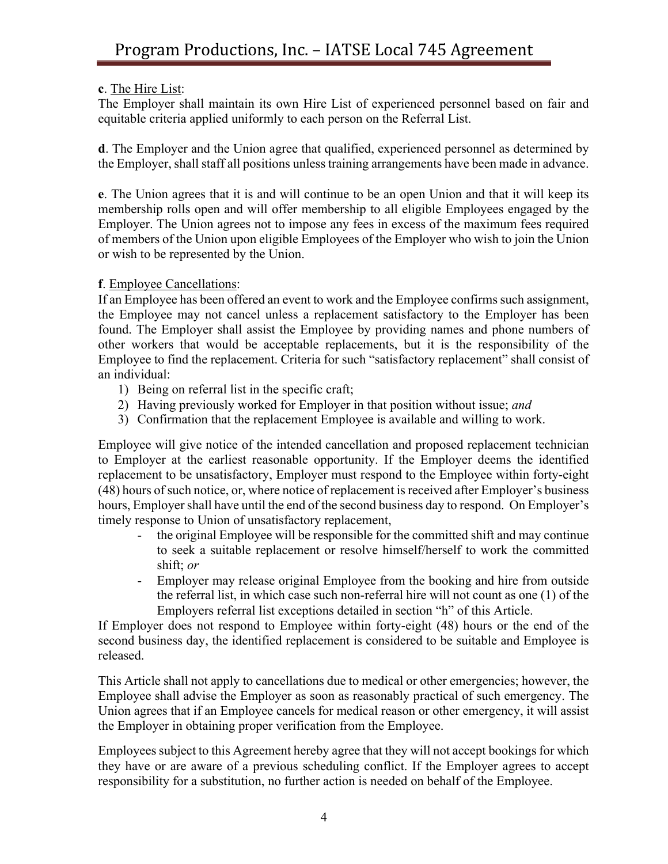# **c**. The Hire List:

The Employer shall maintain its own Hire List of experienced personnel based on fair and equitable criteria applied uniformly to each person on the Referral List.

**d**. The Employer and the Union agree that qualified, experienced personnel as determined by the Employer, shall staff all positions unless training arrangements have been made in advance.

**e**. The Union agrees that it is and will continue to be an open Union and that it will keep its membership rolls open and will offer membership to all eligible Employees engaged by the Employer. The Union agrees not to impose any fees in excess of the maximum fees required of members of the Union upon eligible Employees of the Employer who wish to join the Union or wish to be represented by the Union.

## **f**. Employee Cancellations:

If an Employee has been offered an event to work and the Employee confirms such assignment, the Employee may not cancel unless a replacement satisfactory to the Employer has been found. The Employer shall assist the Employee by providing names and phone numbers of other workers that would be acceptable replacements, but it is the responsibility of the Employee to find the replacement. Criteria for such "satisfactory replacement" shall consist of an individual:

- 1) Being on referral list in the specific craft;
- 2) Having previously worked for Employer in that position without issue; *and*
- 3) Confirmation that the replacement Employee is available and willing to work.

Employee will give notice of the intended cancellation and proposed replacement technician to Employer at the earliest reasonable opportunity. If the Employer deems the identified replacement to be unsatisfactory, Employer must respond to the Employee within forty-eight (48) hours of such notice, or, where notice of replacement is received after Employer's business hours, Employer shall have until the end of the second business day to respond. On Employer's timely response to Union of unsatisfactory replacement,

- the original Employee will be responsible for the committed shift and may continue to seek a suitable replacement or resolve himself/herself to work the committed shift; *or*
- Employer may release original Employee from the booking and hire from outside the referral list, in which case such non-referral hire will not count as one (1) of the Employers referral list exceptions detailed in section "h" of this Article.

If Employer does not respond to Employee within forty-eight (48) hours or the end of the second business day, the identified replacement is considered to be suitable and Employee is released.

This Article shall not apply to cancellations due to medical or other emergencies; however, the Employee shall advise the Employer as soon as reasonably practical of such emergency. The Union agrees that if an Employee cancels for medical reason or other emergency, it will assist the Employer in obtaining proper verification from the Employee.

Employees subject to this Agreement hereby agree that they will not accept bookings for which they have or are aware of a previous scheduling conflict. If the Employer agrees to accept responsibility for a substitution, no further action is needed on behalf of the Employee.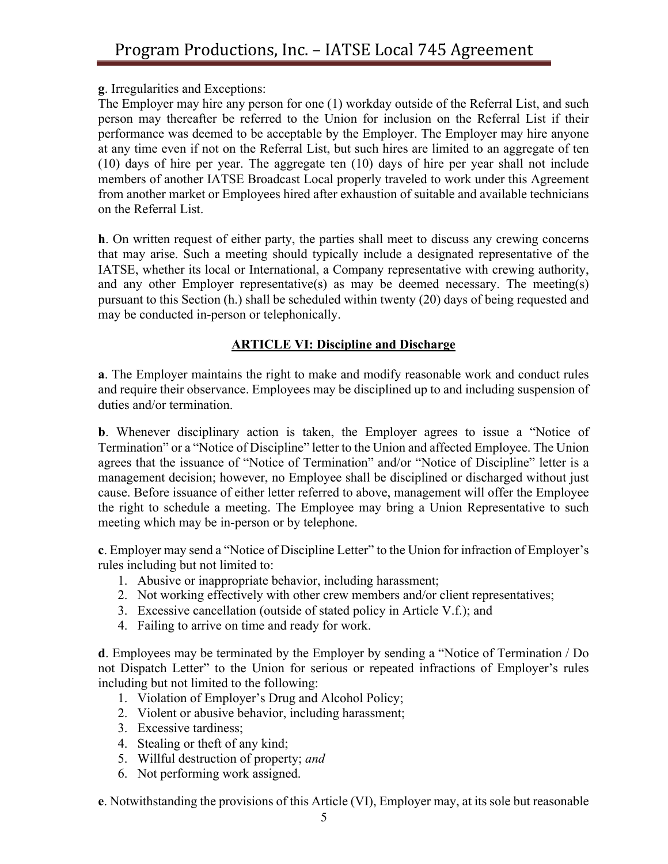**g**. Irregularities and Exceptions:

The Employer may hire any person for one (1) workday outside of the Referral List, and such person may thereafter be referred to the Union for inclusion on the Referral List if their performance was deemed to be acceptable by the Employer. The Employer may hire anyone at any time even if not on the Referral List, but such hires are limited to an aggregate of ten (10) days of hire per year. The aggregate ten (10) days of hire per year shall not include members of another IATSE Broadcast Local properly traveled to work under this Agreement from another market or Employees hired after exhaustion of suitable and available technicians on the Referral List.

**h**. On written request of either party, the parties shall meet to discuss any crewing concerns that may arise. Such a meeting should typically include a designated representative of the IATSE, whether its local or International, a Company representative with crewing authority, and any other Employer representative(s) as may be deemed necessary. The meeting(s) pursuant to this Section (h.) shall be scheduled within twenty (20) days of being requested and may be conducted in-person or telephonically.

# **ARTICLE VI: Discipline and Discharge**

**a**. The Employer maintains the right to make and modify reasonable work and conduct rules and require their observance. Employees may be disciplined up to and including suspension of duties and/or termination.

**b**. Whenever disciplinary action is taken, the Employer agrees to issue a "Notice of Termination" or a "Notice of Discipline" letter to the Union and affected Employee. The Union agrees that the issuance of "Notice of Termination" and/or "Notice of Discipline" letter is a management decision; however, no Employee shall be disciplined or discharged without just cause. Before issuance of either letter referred to above, management will offer the Employee the right to schedule a meeting. The Employee may bring a Union Representative to such meeting which may be in-person or by telephone.

**c**. Employer may send a "Notice of Discipline Letter" to the Union for infraction of Employer's rules including but not limited to:

- 1. Abusive or inappropriate behavior, including harassment;
- 2. Not working effectively with other crew members and/or client representatives;
- 3. Excessive cancellation (outside of stated policy in Article V.f.); and
- 4. Failing to arrive on time and ready for work.

**d**. Employees may be terminated by the Employer by sending a "Notice of Termination / Do not Dispatch Letter" to the Union for serious or repeated infractions of Employer's rules including but not limited to the following:

- 1. Violation of Employer's Drug and Alcohol Policy;
- 2. Violent or abusive behavior, including harassment;
- 3. Excessive tardiness;
- 4. Stealing or theft of any kind;
- 5. Willful destruction of property; *and*
- 6. Not performing work assigned.

**e**. Notwithstanding the provisions of this Article (VI), Employer may, at its sole but reasonable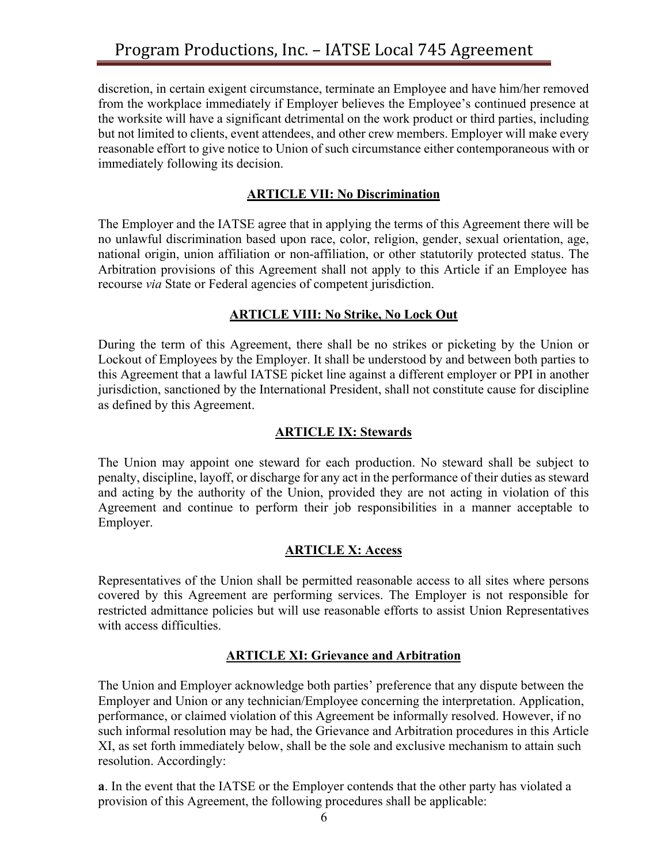discretion, in certain exigent circumstance, terminate an Employee and have him/her removed from the workplace immediately if Employer believes the Employee's continued presence at the worksite will have a significant detrimental on the work product or third parties, including but not limited to clients, event attendees, and other crew members. Employer will make every reasonable effort to give notice to Union of such circumstance either contemporaneous with or immediately following its decision.

## **ARTICLE VII: No Discrimination**

The Employer and the IATSE agree that in applying the terms of this Agreement there will be no unlawful discrimination based upon race, color, religion, gender, sexual orientation, age, national origin, union affiliation or non-affiliation, or other statutorily protected status. The Arbitration provisions of this Agreement shall not apply to this Article if an Employee has recourse *via* State or Federal agencies of competent jurisdiction.

## **ARTICLE VIII: No Strike, No Lock Out**

During the term of this Agreement, there shall be no strikes or picketing by the Union or Lockout of Employees by the Employer. It shall be understood by and between both parties to this Agreement that a lawful IATSE picket line against a different employer or PPI in another jurisdiction, sanctioned by the International President, shall not constitute cause for discipline as defined by this Agreement.

#### **ARTICLE IX: Stewards**

The Union may appoint one steward for each production. No steward shall be subject to penalty, discipline, layoff, or discharge for any act in the performance of their duties as steward and acting by the authority of the Union, provided they are not acting in violation of this Agreement and continue to perform their job responsibilities in a manner acceptable to Employer.

#### **ARTICLE X: Access**

Representatives of the Union shall be permitted reasonable access to all sites where persons covered by this Agreement are performing services. The Employer is not responsible for restricted admittance policies but will use reasonable efforts to assist Union Representatives with access difficulties.

#### **ARTICLE XI: Grievance and Arbitration**

The Union and Employer acknowledge both parties' preference that any dispute between the Employer and Union or any technician/Employee concerning the interpretation. Application, performance, or claimed violation of this Agreement be informally resolved. However, if no such informal resolution may be had, the Grievance and Arbitration procedures in this Article XI, as set forth immediately below, shall be the sole and exclusive mechanism to attain such resolution. Accordingly:

**a**. In the event that the IATSE or the Employer contends that the other party has violated a provision of this Agreement, the following procedures shall be applicable: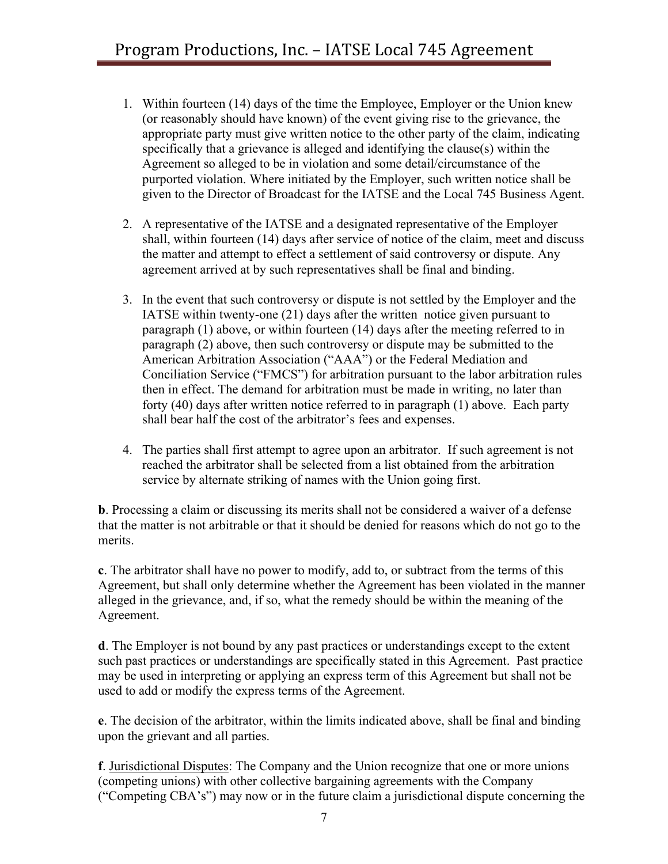- 1. Within fourteen (14) days of the time the Employee, Employer or the Union knew (or reasonably should have known) of the event giving rise to the grievance, the appropriate party must give written notice to the other party of the claim, indicating specifically that a grievance is alleged and identifying the clause(s) within the Agreement so alleged to be in violation and some detail/circumstance of the purported violation. Where initiated by the Employer, such written notice shall be given to the Director of Broadcast for the IATSE and the Local 745 Business Agent.
- 2. A representative of the IATSE and a designated representative of the Employer shall, within fourteen (14) days after service of notice of the claim, meet and discuss the matter and attempt to effect a settlement of said controversy or dispute. Any agreement arrived at by such representatives shall be final and binding.
- 3. In the event that such controversy or dispute is not settled by the Employer and the IATSE within twenty-one (21) days after the written notice given pursuant to paragraph (1) above, or within fourteen (14) days after the meeting referred to in paragraph (2) above, then such controversy or dispute may be submitted to the American Arbitration Association ("AAA") or the Federal Mediation and Conciliation Service ("FMCS") for arbitration pursuant to the labor arbitration rules then in effect. The demand for arbitration must be made in writing, no later than forty (40) days after written notice referred to in paragraph (1) above. Each party shall bear half the cost of the arbitrator's fees and expenses.
- 4. The parties shall first attempt to agree upon an arbitrator. If such agreement is not reached the arbitrator shall be selected from a list obtained from the arbitration service by alternate striking of names with the Union going first.

**b**. Processing a claim or discussing its merits shall not be considered a waiver of a defense that the matter is not arbitrable or that it should be denied for reasons which do not go to the merits.

**c**. The arbitrator shall have no power to modify, add to, or subtract from the terms of this Agreement, but shall only determine whether the Agreement has been violated in the manner alleged in the grievance, and, if so, what the remedy should be within the meaning of the Agreement.

**d**. The Employer is not bound by any past practices or understandings except to the extent such past practices or understandings are specifically stated in this Agreement. Past practice may be used in interpreting or applying an express term of this Agreement but shall not be used to add or modify the express terms of the Agreement.

**e**. The decision of the arbitrator, within the limits indicated above, shall be final and binding upon the grievant and all parties.

**f**. Jurisdictional Disputes: The Company and the Union recognize that one or more unions (competing unions) with other collective bargaining agreements with the Company ("Competing CBA's") may now or in the future claim a jurisdictional dispute concerning the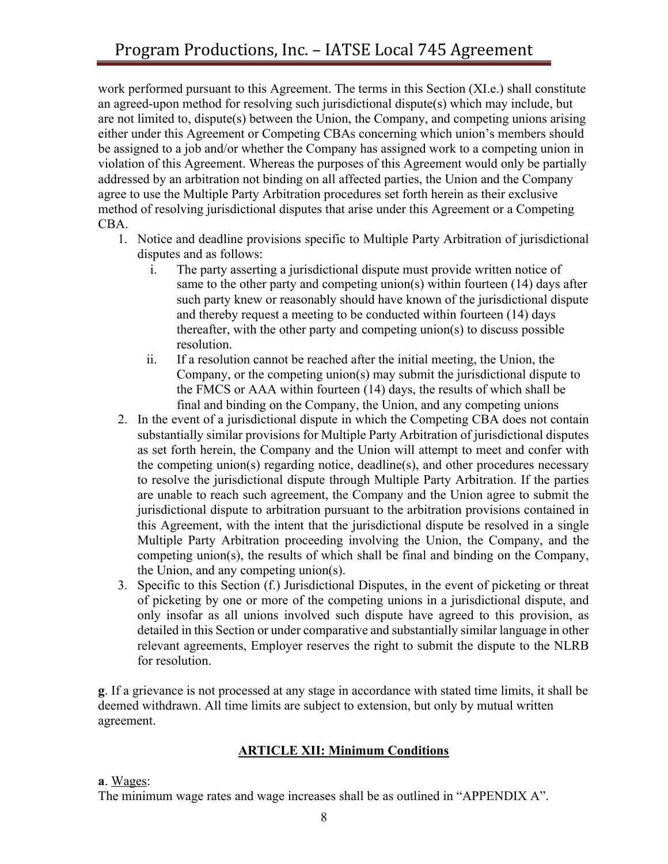work performed pursuant to this Agreement. The terms in this Section (XI.e.) shall constitute an agreed-upon method for resolving such jurisdictional dispute(s) which may include, but are not limited to, dispute(s) between the Union, the Company, and competing unions arising either under this Agreement or Competing CBAs concerning which union's members should be assigned to a job and/or whether the Company has assigned work to a competing union in violation of this Agreement. Whereas the purposes of this Agreement would only be partially addressed by an arbitration not binding on all affected parties, the Union and the Company agree to use the Multiple Party Arbitration procedures set forth herein as their exclusive method of resolving jurisdictional disputes that arise under this Agreement or a Competing CBA.

- 1. Notice and deadline provisions specific to Multiple Party Arbitration of jurisdictional disputes and as follows:
	- i. The party asserting a jurisdictional dispute must provide written notice of same to the other party and competing union(s) within fourteen (14) days after such party knew or reasonably should have known of the jurisdictional dispute and thereby request a meeting to be conducted within fourteen (14) days thereafter, with the other party and competing union(s) to discuss possible resolution.
	- ii. If a resolution cannot be reached after the initial meeting, the Union, the Company, or the competing union(s) may submit the jurisdictional dispute to the FMCS or AAA within fourteen (14) days, the results of which shall be final and binding on the Company, the Union, and any competing unions
- 2. In the event of a jurisdictional dispute in which the Competing CBA does not contain substantially similar provisions for Multiple Party Arbitration of jurisdictional disputes as set forth herein, the Company and the Union will attempt to meet and confer with the competing union(s) regarding notice, deadline(s), and other procedures necessary to resolve the jurisdictional dispute through Multiple Party Arbitration. If the parties are unable to reach such agreement, the Company and the Union agree to submit the jurisdictional dispute to arbitration pursuant to the arbitration provisions contained in this Agreement, with the intent that the jurisdictional dispute be resolved in a single Multiple Party Arbitration proceeding involving the Union, the Company, and the competing union(s), the results of which shall be final and binding on the Company, the Union, and any competing union(s).
- 3. Specific to this Section (f.) Jurisdictional Disputes, in the event of picketing or threat of picketing by one or more of the competing unions in a jurisdictional dispute, and only insofar as all unions involved such dispute have agreed to this provision, as detailed in this Section or under comparative and substantially similar language in other relevant agreements, Employer reserves the right to submit the dispute to the NLRB for resolution.

**g**. If a grievance is not processed at any stage in accordance with stated time limits, it shall be deemed withdrawn. All time limits are subject to extension, but only by mutual written agreement.

# **ARTICLE XII: Minimum Conditions**

#### **a**. Wages:

The minimum wage rates and wage increases shall be as outlined in "APPENDIX A".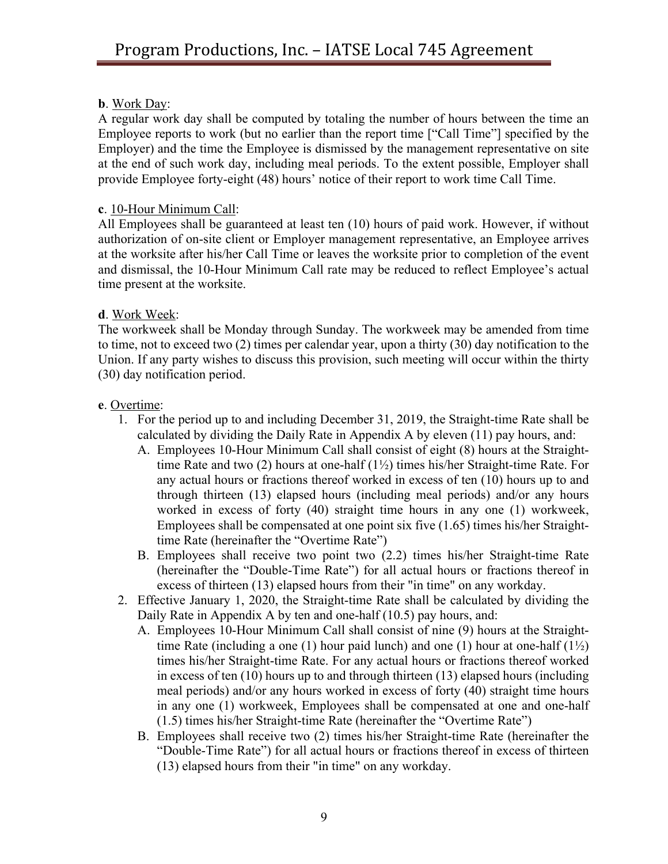## **b**. Work Day:

A regular work day shall be computed by totaling the number of hours between the time an Employee reports to work (but no earlier than the report time ["Call Time"] specified by the Employer) and the time the Employee is dismissed by the management representative on site at the end of such work day, including meal periods. To the extent possible, Employer shall provide Employee forty-eight (48) hours' notice of their report to work time Call Time.

## **c**. 10-Hour Minimum Call:

All Employees shall be guaranteed at least ten (10) hours of paid work. However, if without authorization of on-site client or Employer management representative, an Employee arrives at the worksite after his/her Call Time or leaves the worksite prior to completion of the event and dismissal, the 10-Hour Minimum Call rate may be reduced to reflect Employee's actual time present at the worksite.

## **d**. Work Week:

The workweek shall be Monday through Sunday. The workweek may be amended from time to time, not to exceed two (2) times per calendar year, upon a thirty (30) day notification to the Union. If any party wishes to discuss this provision, such meeting will occur within the thirty (30) day notification period.

## **e**. Overtime:

- 1. For the period up to and including December 31, 2019, the Straight-time Rate shall be calculated by dividing the Daily Rate in Appendix A by eleven (11) pay hours, and:
	- A. Employees 10-Hour Minimum Call shall consist of eight (8) hours at the Straighttime Rate and two (2) hours at one-half (1½) times his/her Straight-time Rate. For any actual hours or fractions thereof worked in excess of ten (10) hours up to and through thirteen (13) elapsed hours (including meal periods) and/or any hours worked in excess of forty (40) straight time hours in any one (1) workweek, Employees shall be compensated at one point six five (1.65) times his/her Straighttime Rate (hereinafter the "Overtime Rate")
	- B. Employees shall receive two point two (2.2) times his/her Straight-time Rate (hereinafter the "Double-Time Rate") for all actual hours or fractions thereof in excess of thirteen (13) elapsed hours from their "in time" on any workday.
- 2. Effective January 1, 2020, the Straight-time Rate shall be calculated by dividing the Daily Rate in Appendix A by ten and one-half (10.5) pay hours, and:
	- A. Employees 10-Hour Minimum Call shall consist of nine (9) hours at the Straighttime Rate (including a one (1) hour paid lunch) and one (1) hour at one-half  $(1\frac{1}{2})$ times his/her Straight-time Rate. For any actual hours or fractions thereof worked in excess of ten (10) hours up to and through thirteen (13) elapsed hours (including meal periods) and/or any hours worked in excess of forty (40) straight time hours in any one (1) workweek, Employees shall be compensated at one and one-half (1.5) times his/her Straight-time Rate (hereinafter the "Overtime Rate")
	- B. Employees shall receive two (2) times his/her Straight-time Rate (hereinafter the "Double-Time Rate") for all actual hours or fractions thereof in excess of thirteen (13) elapsed hours from their "in time" on any workday.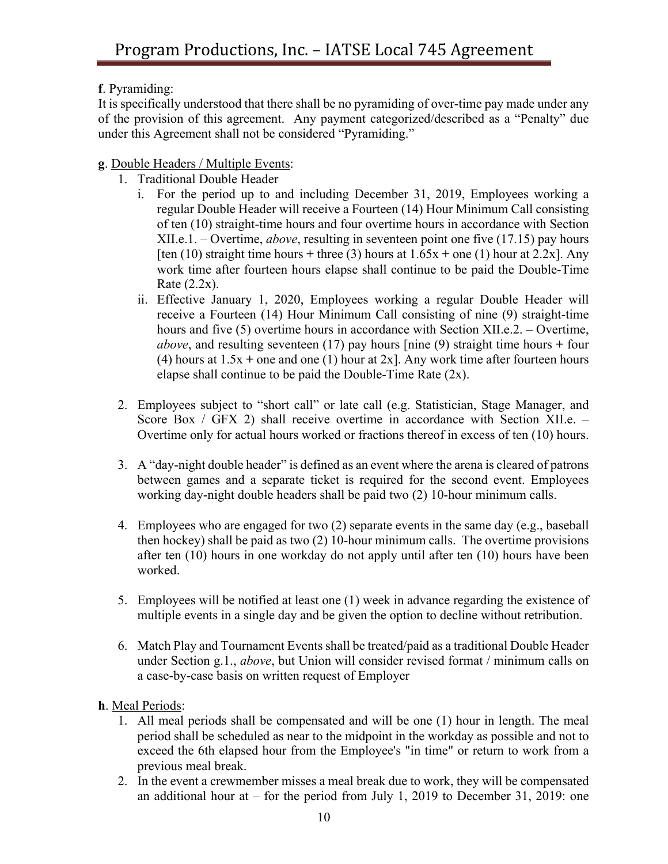**f**. Pyramiding:

It is specifically understood that there shall be no pyramiding of over-time pay made under any of the provision of this agreement. Any payment categorized/described as a "Penalty" due under this Agreement shall not be considered "Pyramiding."

**g**. Double Headers / Multiple Events:

- 1. Traditional Double Header
	- i. For the period up to and including December 31, 2019, Employees working a regular Double Header will receive a Fourteen (14) Hour Minimum Call consisting of ten (10) straight-time hours and four overtime hours in accordance with Section XII.e.1. – Overtime, *above*, resulting in seventeen point one five (17.15) pay hours [ten  $(10)$  straight time hours  $+$  three  $(3)$  hours at  $1.65x +$  one  $(1)$  hour at  $2.2x$ ]. Any work time after fourteen hours elapse shall continue to be paid the Double-Time Rate  $(2.2x)$ .
	- ii. Effective January 1, 2020, Employees working a regular Double Header will receive a Fourteen (14) Hour Minimum Call consisting of nine (9) straight-time hours and five (5) overtime hours in accordance with Section XII.e.2. – Overtime, *above*, and resulting seventeen (17) pay hours [nine (9) straight time hours **+** four (4) hours at 1.5x **+** one and one (1) hour at 2x]. Any work time after fourteen hours elapse shall continue to be paid the Double-Time Rate (2x).
- 2. Employees subject to "short call" or late call (e.g. Statistician, Stage Manager, and Score Box / GFX 2) shall receive overtime in accordance with Section XII.e. – Overtime only for actual hours worked or fractions thereof in excess of ten (10) hours.
- 3. A "day-night double header" is defined as an event where the arena is cleared of patrons between games and a separate ticket is required for the second event. Employees working day-night double headers shall be paid two (2) 10-hour minimum calls.
- 4. Employees who are engaged for two (2) separate events in the same day (e.g., baseball then hockey) shall be paid as two (2) 10-hour minimum calls. The overtime provisions after ten (10) hours in one workday do not apply until after ten (10) hours have been worked.
- 5. Employees will be notified at least one (1) week in advance regarding the existence of multiple events in a single day and be given the option to decline without retribution.
- 6. Match Play and Tournament Events shall be treated/paid as a traditional Double Header under Section g.1., *above*, but Union will consider revised format / minimum calls on a case-by-case basis on written request of Employer

**h**. Meal Periods:

- 1. All meal periods shall be compensated and will be one (1) hour in length. The meal period shall be scheduled as near to the midpoint in the workday as possible and not to exceed the 6th elapsed hour from the Employee's "in time" or return to work from a previous meal break.
- 2. In the event a crewmember misses a meal break due to work, they will be compensated an additional hour at – for the period from July 1, 2019 to December 31, 2019: one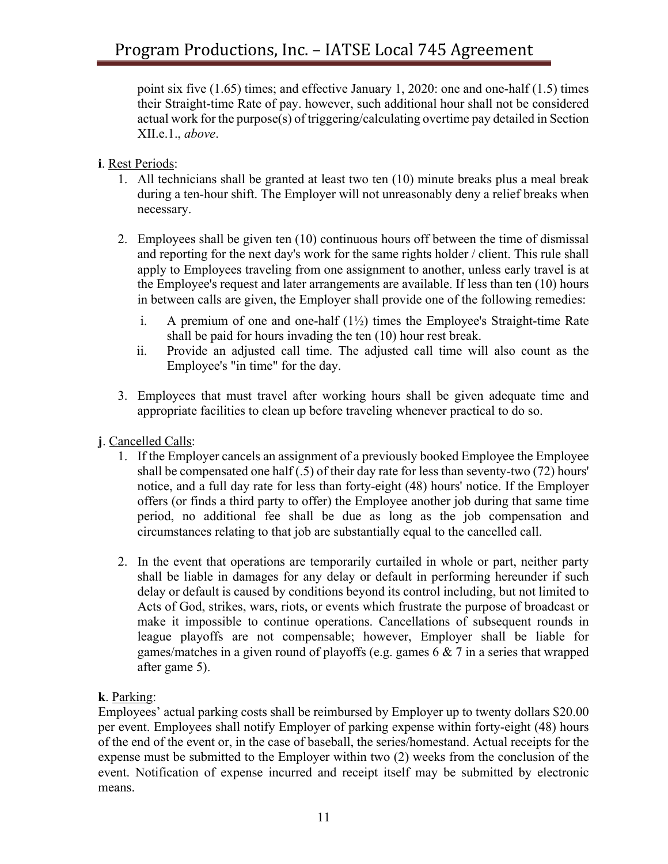point six five (1.65) times; and effective January 1, 2020: one and one-half (1.5) times their Straight-time Rate of pay. however, such additional hour shall not be considered actual work for the purpose(s) of triggering/calculating overtime pay detailed in Section XII.e.1., *above*.

#### **i**. Rest Periods:

- 1. All technicians shall be granted at least two ten (10) minute breaks plus a meal break during a ten-hour shift. The Employer will not unreasonably deny a relief breaks when necessary.
- 2. Employees shall be given ten (10) continuous hours off between the time of dismissal and reporting for the next day's work for the same rights holder / client. This rule shall apply to Employees traveling from one assignment to another, unless early travel is at the Employee's request and later arrangements are available. If less than ten (10) hours in between calls are given, the Employer shall provide one of the following remedies:
	- i. A premium of one and one-half  $(1/2)$  times the Employee's Straight-time Rate shall be paid for hours invading the ten (10) hour rest break.
	- ii. Provide an adjusted call time. The adjusted call time will also count as the Employee's "in time" for the day.
- 3. Employees that must travel after working hours shall be given adequate time and appropriate facilities to clean up before traveling whenever practical to do so.
- **j**. Cancelled Calls:
	- 1. If the Employer cancels an assignment of a previously booked Employee the Employee shall be compensated one half (.5) of their day rate for less than seventy-two (72) hours' notice, and a full day rate for less than forty-eight (48) hours' notice. If the Employer offers (or finds a third party to offer) the Employee another job during that same time period, no additional fee shall be due as long as the job compensation and circumstances relating to that job are substantially equal to the cancelled call.
	- 2. In the event that operations are temporarily curtailed in whole or part, neither party shall be liable in damages for any delay or default in performing hereunder if such delay or default is caused by conditions beyond its control including, but not limited to Acts of God, strikes, wars, riots, or events which frustrate the purpose of broadcast or make it impossible to continue operations. Cancellations of subsequent rounds in league playoffs are not compensable; however, Employer shall be liable for games/matches in a given round of playoffs (e.g. games 6  $\&$  7 in a series that wrapped after game 5).

# **k**. Parking:

Employees' actual parking costs shall be reimbursed by Employer up to twenty dollars \$20.00 per event. Employees shall notify Employer of parking expense within forty-eight (48) hours of the end of the event or, in the case of baseball, the series/homestand. Actual receipts for the expense must be submitted to the Employer within two (2) weeks from the conclusion of the event. Notification of expense incurred and receipt itself may be submitted by electronic means.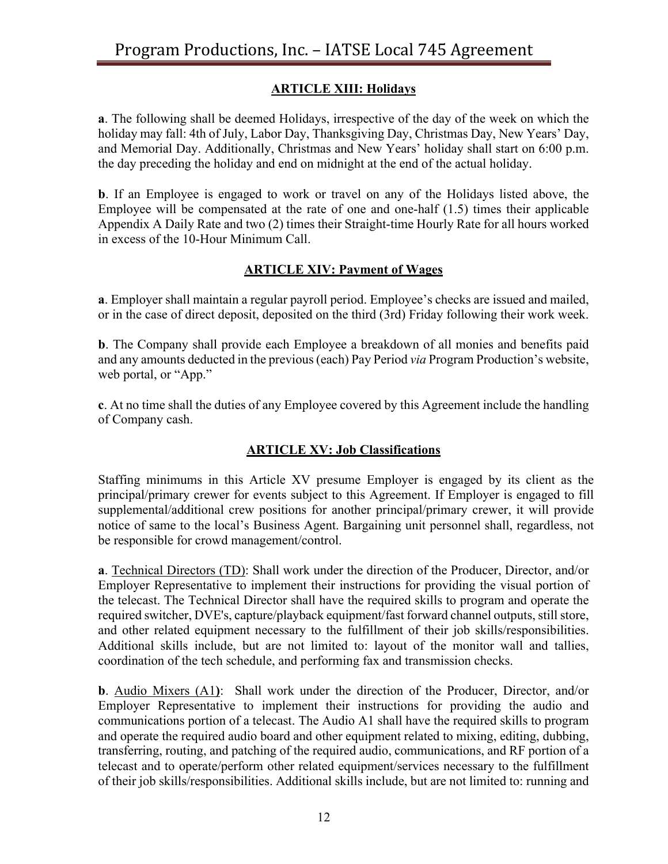# **ARTICLE XIII: Holidays**

**a**. The following shall be deemed Holidays, irrespective of the day of the week on which the holiday may fall: 4th of July, Labor Day, Thanksgiving Day, Christmas Day, New Years' Day, and Memorial Day. Additionally, Christmas and New Years' holiday shall start on 6:00 p.m. the day preceding the holiday and end on midnight at the end of the actual holiday.

**b**. If an Employee is engaged to work or travel on any of the Holidays listed above, the Employee will be compensated at the rate of one and one-half (1.5) times their applicable Appendix A Daily Rate and two (2) times their Straight-time Hourly Rate for all hours worked in excess of the 10-Hour Minimum Call.

# **ARTICLE XIV: Payment of Wages**

**a**. Employer shall maintain a regular payroll period. Employee's checks are issued and mailed, or in the case of direct deposit, deposited on the third (3rd) Friday following their work week.

**b**. The Company shall provide each Employee a breakdown of all monies and benefits paid and any amounts deducted in the previous (each) Pay Period *via* Program Production's website, web portal, or "App."

**c**. At no time shall the duties of any Employee covered by this Agreement include the handling of Company cash.

# **ARTICLE XV: Job Classifications**

Staffing minimums in this Article XV presume Employer is engaged by its client as the principal/primary crewer for events subject to this Agreement. If Employer is engaged to fill supplemental/additional crew positions for another principal/primary crewer, it will provide notice of same to the local's Business Agent. Bargaining unit personnel shall, regardless, not be responsible for crowd management/control.

**a**. Technical Directors (TD): Shall work under the direction of the Producer, Director, and/or Employer Representative to implement their instructions for providing the visual portion of the telecast. The Technical Director shall have the required skills to program and operate the required switcher, DVE's, capture/playback equipment/fast forward channel outputs, still store, and other related equipment necessary to the fulfillment of their job skills/responsibilities. Additional skills include, but are not limited to: layout of the monitor wall and tallies, coordination of the tech schedule, and performing fax and transmission checks.

**b**. Audio Mixers (A1**)**: Shall work under the direction of the Producer, Director, and/or Employer Representative to implement their instructions for providing the audio and communications portion of a telecast. The Audio A1 shall have the required skills to program and operate the required audio board and other equipment related to mixing, editing, dubbing, transferring, routing, and patching of the required audio, communications, and RF portion of a telecast and to operate/perform other related equipment/services necessary to the fulfillment of their job skills/responsibilities. Additional skills include, but are not limited to: running and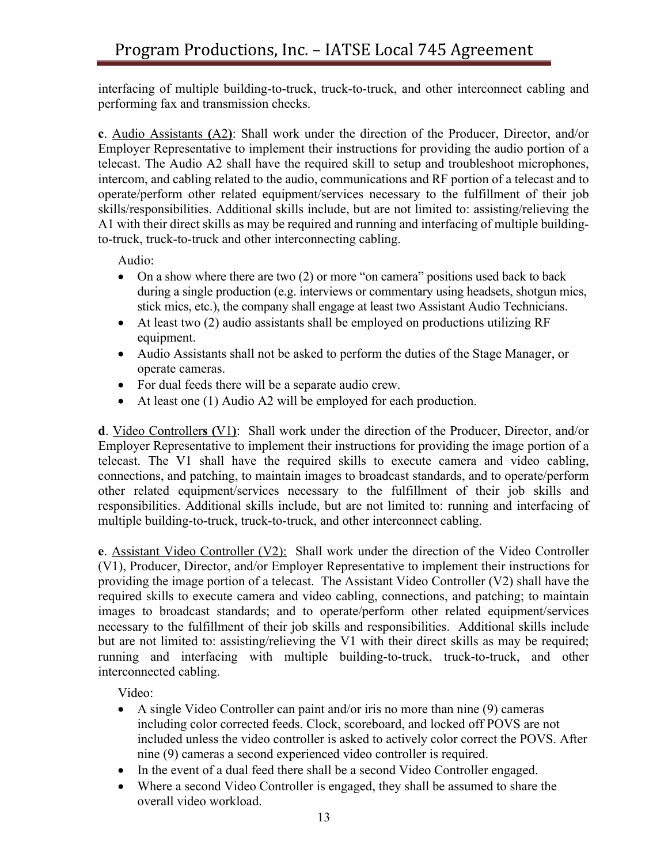interfacing of multiple building-to-truck, truck-to-truck, and other interconnect cabling and performing fax and transmission checks.

**c**. Audio Assistants **(**A2**)**: Shall work under the direction of the Producer, Director, and/or Employer Representative to implement their instructions for providing the audio portion of a telecast. The Audio A2 shall have the required skill to setup and troubleshoot microphones, intercom, and cabling related to the audio, communications and RF portion of a telecast and to operate/perform other related equipment/services necessary to the fulfillment of their job skills/responsibilities. Additional skills include, but are not limited to: assisting/relieving the A1 with their direct skills as may be required and running and interfacing of multiple buildingto-truck, truck-to-truck and other interconnecting cabling.

Audio:

- On a show where there are two (2) or more "on camera" positions used back to back during a single production (e.g. interviews or commentary using headsets, shotgun mics, stick mics, etc.), the company shall engage at least two Assistant Audio Technicians.
- At least two (2) audio assistants shall be employed on productions utilizing RF equipment.
- Audio Assistants shall not be asked to perform the duties of the Stage Manager, or operate cameras.
- For dual feeds there will be a separate audio crew.
- At least one (1) Audio A2 will be employed for each production.

**d**. Video Controller**s (**V1**)**: Shall work under the direction of the Producer, Director, and/or Employer Representative to implement their instructions for providing the image portion of a telecast. The V1 shall have the required skills to execute camera and video cabling, connections, and patching, to maintain images to broadcast standards, and to operate/perform other related equipment/services necessary to the fulfillment of their job skills and responsibilities. Additional skills include, but are not limited to: running and interfacing of multiple building-to-truck, truck-to-truck, and other interconnect cabling.

**e**. Assistant Video Controller (V2): Shall work under the direction of the Video Controller (V1), Producer, Director, and/or Employer Representative to implement their instructions for providing the image portion of a telecast. The Assistant Video Controller (V2) shall have the required skills to execute camera and video cabling, connections, and patching; to maintain images to broadcast standards; and to operate/perform other related equipment/services necessary to the fulfillment of their job skills and responsibilities. Additional skills include but are not limited to: assisting/relieving the V1 with their direct skills as may be required; running and interfacing with multiple building-to-truck, truck-to-truck, and other interconnected cabling.

Video:

- A single Video Controller can paint and/or iris no more than nine (9) cameras including color corrected feeds. Clock, scoreboard, and locked off POVS are not included unless the video controller is asked to actively color correct the POVS. After nine (9) cameras a second experienced video controller is required.
- In the event of a dual feed there shall be a second Video Controller engaged.
- Where a second Video Controller is engaged, they shall be assumed to share the overall video workload.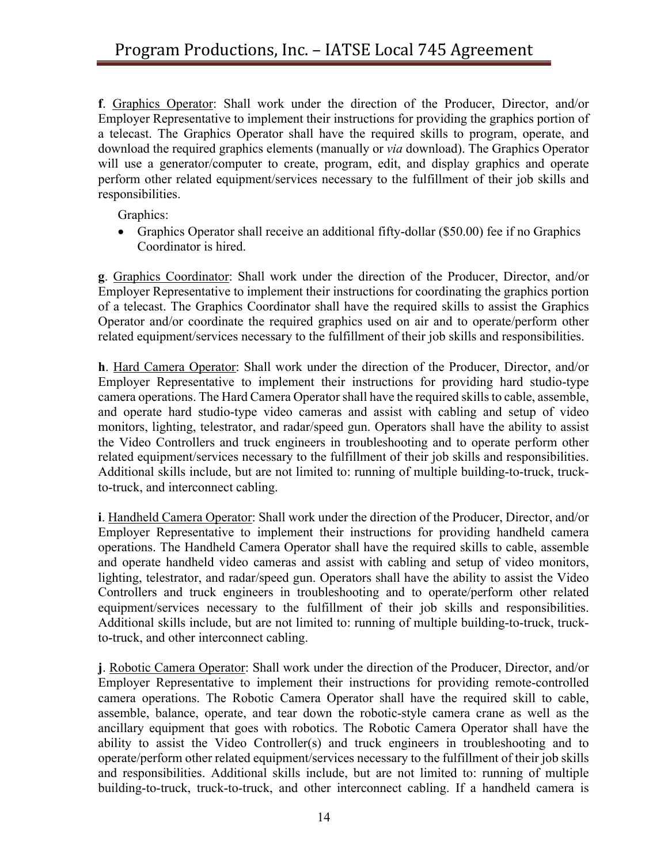**f**. Graphics Operator: Shall work under the direction of the Producer, Director, and/or Employer Representative to implement their instructions for providing the graphics portion of a telecast. The Graphics Operator shall have the required skills to program, operate, and download the required graphics elements (manually or *via* download). The Graphics Operator will use a generator/computer to create, program, edit, and display graphics and operate perform other related equipment/services necessary to the fulfillment of their job skills and responsibilities.

Graphics:

• Graphics Operator shall receive an additional fifty-dollar (\$50.00) fee if no Graphics Coordinator is hired.

**g**. Graphics Coordinator: Shall work under the direction of the Producer, Director, and/or Employer Representative to implement their instructions for coordinating the graphics portion of a telecast. The Graphics Coordinator shall have the required skills to assist the Graphics Operator and/or coordinate the required graphics used on air and to operate/perform other related equipment/services necessary to the fulfillment of their job skills and responsibilities.

**h**. Hard Camera Operator: Shall work under the direction of the Producer, Director, and/or Employer Representative to implement their instructions for providing hard studio-type camera operations. The Hard Camera Operator shall have the required skills to cable, assemble, and operate hard studio-type video cameras and assist with cabling and setup of video monitors, lighting, telestrator, and radar/speed gun. Operators shall have the ability to assist the Video Controllers and truck engineers in troubleshooting and to operate perform other related equipment/services necessary to the fulfillment of their job skills and responsibilities. Additional skills include, but are not limited to: running of multiple building-to-truck, truckto-truck, and interconnect cabling.

**i**. Handheld Camera Operator: Shall work under the direction of the Producer, Director, and/or Employer Representative to implement their instructions for providing handheld camera operations. The Handheld Camera Operator shall have the required skills to cable, assemble and operate handheld video cameras and assist with cabling and setup of video monitors, lighting, telestrator, and radar/speed gun. Operators shall have the ability to assist the Video Controllers and truck engineers in troubleshooting and to operate/perform other related equipment/services necessary to the fulfillment of their job skills and responsibilities. Additional skills include, but are not limited to: running of multiple building-to-truck, truckto-truck, and other interconnect cabling.

**j**. Robotic Camera Operator: Shall work under the direction of the Producer, Director, and/or Employer Representative to implement their instructions for providing remote-controlled camera operations. The Robotic Camera Operator shall have the required skill to cable, assemble, balance, operate, and tear down the robotic-style camera crane as well as the ancillary equipment that goes with robotics. The Robotic Camera Operator shall have the ability to assist the Video Controller(s) and truck engineers in troubleshooting and to operate/perform other related equipment/services necessary to the fulfillment of their job skills and responsibilities. Additional skills include, but are not limited to: running of multiple building-to-truck, truck-to-truck, and other interconnect cabling. If a handheld camera is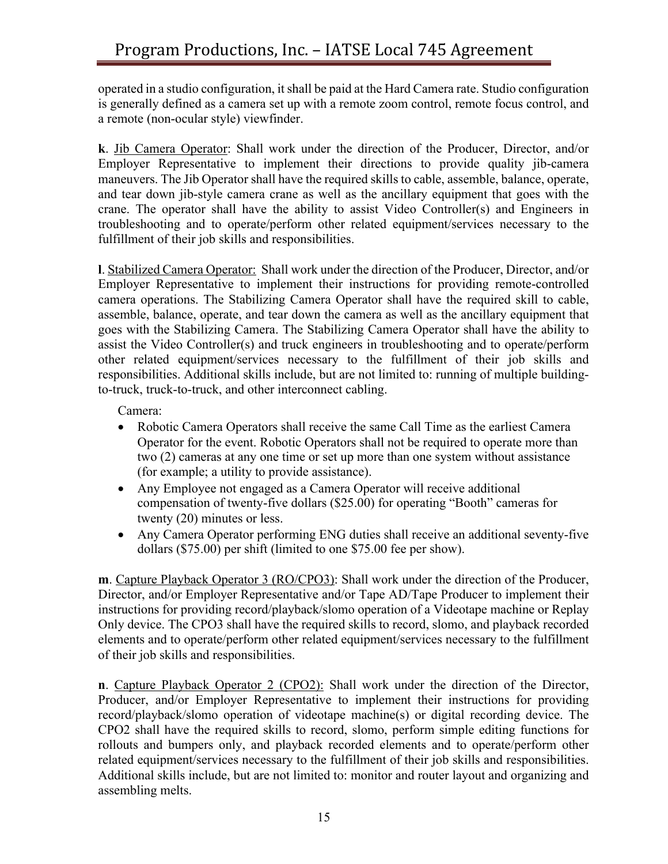operated in a studio configuration, it shall be paid at the Hard Camera rate. Studio configuration is generally defined as a camera set up with a remote zoom control, remote focus control, and a remote (non-ocular style) viewfinder.

**k**. Jib Camera Operator: Shall work under the direction of the Producer, Director, and/or Employer Representative to implement their directions to provide quality jib-camera maneuvers. The Jib Operator shall have the required skills to cable, assemble, balance, operate, and tear down jib-style camera crane as well as the ancillary equipment that goes with the crane. The operator shall have the ability to assist Video Controller(s) and Engineers in troubleshooting and to operate/perform other related equipment/services necessary to the fulfillment of their job skills and responsibilities.

**l**. Stabilized Camera Operator: Shall work under the direction of the Producer, Director, and/or Employer Representative to implement their instructions for providing remote-controlled camera operations. The Stabilizing Camera Operator shall have the required skill to cable, assemble, balance, operate, and tear down the camera as well as the ancillary equipment that goes with the Stabilizing Camera. The Stabilizing Camera Operator shall have the ability to assist the Video Controller(s) and truck engineers in troubleshooting and to operate/perform other related equipment/services necessary to the fulfillment of their job skills and responsibilities. Additional skills include, but are not limited to: running of multiple buildingto-truck, truck-to-truck, and other interconnect cabling.

Camera:

- Robotic Camera Operators shall receive the same Call Time as the earliest Camera Operator for the event. Robotic Operators shall not be required to operate more than two (2) cameras at any one time or set up more than one system without assistance (for example; a utility to provide assistance).
- Any Employee not engaged as a Camera Operator will receive additional compensation of twenty-five dollars (\$25.00) for operating "Booth" cameras for twenty (20) minutes or less.
- Any Camera Operator performing ENG duties shall receive an additional seventy-five dollars (\$75.00) per shift (limited to one \$75.00 fee per show).

**m**. Capture Playback Operator 3 (RO/CPO3): Shall work under the direction of the Producer, Director, and/or Employer Representative and/or Tape AD/Tape Producer to implement their instructions for providing record/playback/slomo operation of a Videotape machine or Replay Only device. The CPO3 shall have the required skills to record, slomo, and playback recorded elements and to operate/perform other related equipment/services necessary to the fulfillment of their job skills and responsibilities.

**n**. Capture Playback Operator 2 (CPO2): Shall work under the direction of the Director, Producer, and/or Employer Representative to implement their instructions for providing record/playback/slomo operation of videotape machine(s) or digital recording device. The CPO2 shall have the required skills to record, slomo, perform simple editing functions for rollouts and bumpers only, and playback recorded elements and to operate/perform other related equipment/services necessary to the fulfillment of their job skills and responsibilities. Additional skills include, but are not limited to: monitor and router layout and organizing and assembling melts.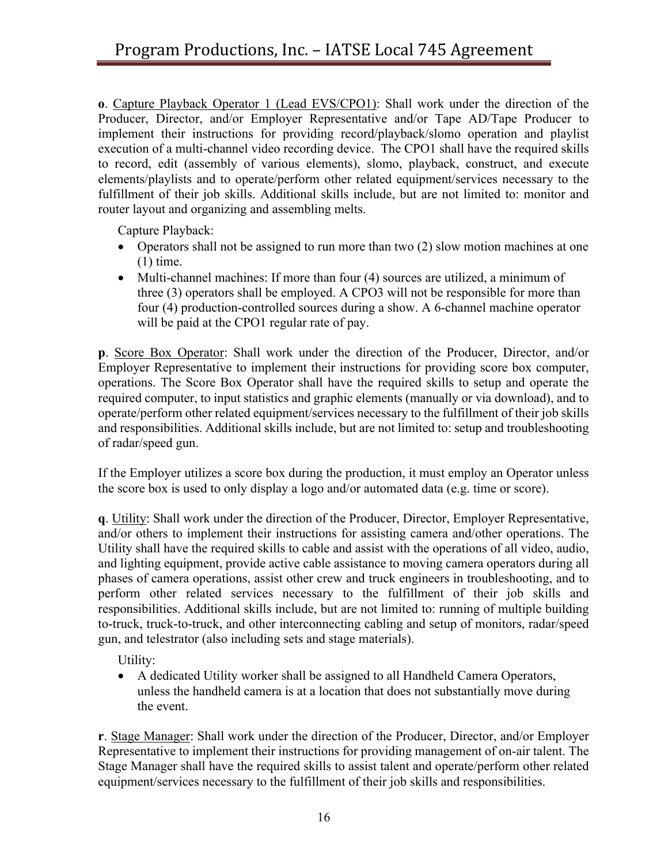**o**. Capture Playback Operator 1 (Lead EVS/CPO1): Shall work under the direction of the Producer, Director, and/or Employer Representative and/or Tape AD/Tape Producer to implement their instructions for providing record/playback/slomo operation and playlist execution of a multi-channel video recording device. The CPO1 shall have the required skills to record, edit (assembly of various elements), slomo, playback, construct, and execute elements/playlists and to operate/perform other related equipment/services necessary to the fulfillment of their job skills. Additional skills include, but are not limited to: monitor and router layout and organizing and assembling melts.

Capture Playback:

- Operators shall not be assigned to run more than two (2) slow motion machines at one  $(1)$  time.
- Multi-channel machines: If more than four (4) sources are utilized, a minimum of three (3) operators shall be employed. A CPO3 will not be responsible for more than four (4) production-controlled sources during a show. A 6-channel machine operator will be paid at the CPO1 regular rate of pay.

**p**. Score Box Operator: Shall work under the direction of the Producer, Director, and/or Employer Representative to implement their instructions for providing score box computer, operations. The Score Box Operator shall have the required skills to setup and operate the required computer, to input statistics and graphic elements (manually or via download), and to operate/perform other related equipment/services necessary to the fulfillment of their job skills and responsibilities. Additional skills include, but are not limited to: setup and troubleshooting of radar/speed gun.

If the Employer utilizes a score box during the production, it must employ an Operator unless the score box is used to only display a logo and/or automated data (e.g. time or score).

**q**. Utility: Shall work under the direction of the Producer, Director, Employer Representative, and/or others to implement their instructions for assisting camera and/other operations. The Utility shall have the required skills to cable and assist with the operations of all video, audio, and lighting equipment, provide active cable assistance to moving camera operators during all phases of camera operations, assist other crew and truck engineers in troubleshooting, and to perform other related services necessary to the fulfillment of their job skills and responsibilities. Additional skills include, but are not limited to: running of multiple building to-truck, truck-to-truck, and other interconnecting cabling and setup of monitors, radar/speed gun, and telestrator (also including sets and stage materials).

Utility:

• A dedicated Utility worker shall be assigned to all Handheld Camera Operators, unless the handheld camera is at a location that does not substantially move during the event.

**r**. Stage Manager: Shall work under the direction of the Producer, Director, and/or Employer Representative to implement their instructions for providing management of on-air talent. The Stage Manager shall have the required skills to assist talent and operate/perform other related equipment/services necessary to the fulfillment of their job skills and responsibilities.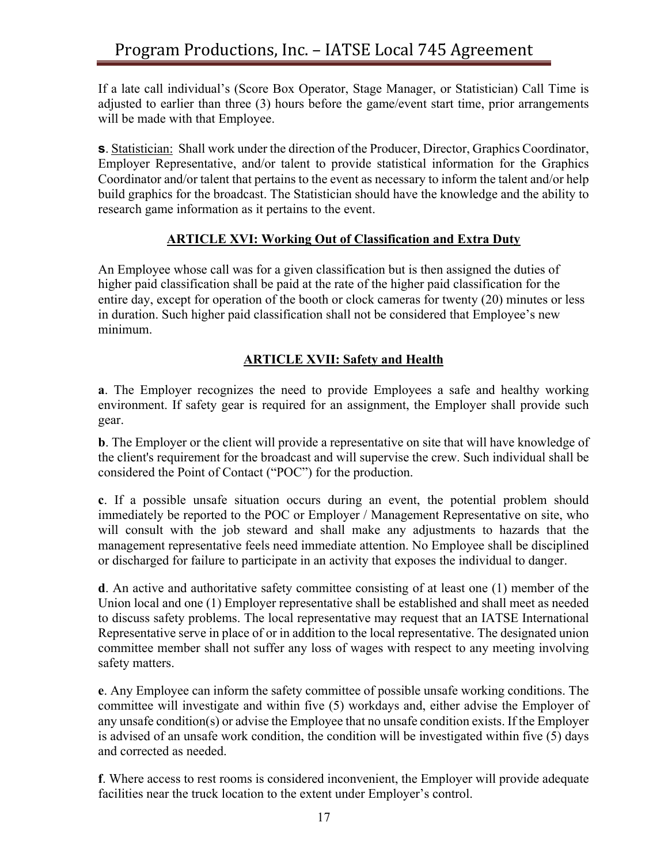If a late call individual's (Score Box Operator, Stage Manager, or Statistician) Call Time is adjusted to earlier than three (3) hours before the game/event start time, prior arrangements will be made with that Employee.

**s**. Statistician: Shall work under the direction of the Producer, Director, Graphics Coordinator, Employer Representative, and/or talent to provide statistical information for the Graphics Coordinator and/or talent that pertains to the event as necessary to inform the talent and/or help build graphics for the broadcast. The Statistician should have the knowledge and the ability to research game information as it pertains to the event.

## **ARTICLE XVI: Working Out of Classification and Extra Duty**

An Employee whose call was for a given classification but is then assigned the duties of higher paid classification shall be paid at the rate of the higher paid classification for the entire day, except for operation of the booth or clock cameras for twenty (20) minutes or less in duration. Such higher paid classification shall not be considered that Employee's new minimum.

# **ARTICLE XVII: Safety and Health**

**a**. The Employer recognizes the need to provide Employees a safe and healthy working environment. If safety gear is required for an assignment, the Employer shall provide such gear.

**b**. The Employer or the client will provide a representative on site that will have knowledge of the client's requirement for the broadcast and will supervise the crew. Such individual shall be considered the Point of Contact ("POC") for the production.

**c**. If a possible unsafe situation occurs during an event, the potential problem should immediately be reported to the POC or Employer / Management Representative on site, who will consult with the job steward and shall make any adjustments to hazards that the management representative feels need immediate attention. No Employee shall be disciplined or discharged for failure to participate in an activity that exposes the individual to danger.

**d**. An active and authoritative safety committee consisting of at least one (1) member of the Union local and one (1) Employer representative shall be established and shall meet as needed to discuss safety problems. The local representative may request that an IATSE International Representative serve in place of or in addition to the local representative. The designated union committee member shall not suffer any loss of wages with respect to any meeting involving safety matters.

**e**. Any Employee can inform the safety committee of possible unsafe working conditions. The committee will investigate and within five (5) workdays and, either advise the Employer of any unsafe condition(s) or advise the Employee that no unsafe condition exists. If the Employer is advised of an unsafe work condition, the condition will be investigated within five (5) days and corrected as needed.

**f**. Where access to rest rooms is considered inconvenient, the Employer will provide adequate facilities near the truck location to the extent under Employer's control.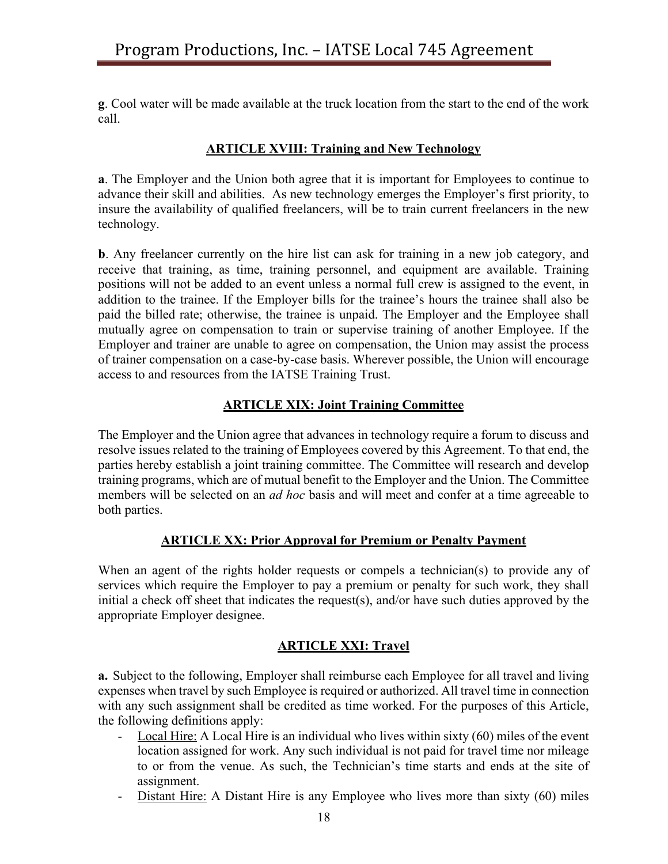**g**. Cool water will be made available at the truck location from the start to the end of the work call.

# **ARTICLE XVIII: Training and New Technology**

**a**. The Employer and the Union both agree that it is important for Employees to continue to advance their skill and abilities. As new technology emerges the Employer's first priority, to insure the availability of qualified freelancers, will be to train current freelancers in the new technology.

**b**. Any freelancer currently on the hire list can ask for training in a new job category, and receive that training, as time, training personnel, and equipment are available. Training positions will not be added to an event unless a normal full crew is assigned to the event, in addition to the trainee. If the Employer bills for the trainee's hours the trainee shall also be paid the billed rate; otherwise, the trainee is unpaid. The Employer and the Employee shall mutually agree on compensation to train or supervise training of another Employee. If the Employer and trainer are unable to agree on compensation, the Union may assist the process of trainer compensation on a case-by-case basis. Wherever possible, the Union will encourage access to and resources from the IATSE Training Trust.

## **ARTICLE XIX: Joint Training Committee**

The Employer and the Union agree that advances in technology require a forum to discuss and resolve issues related to the training of Employees covered by this Agreement. To that end, the parties hereby establish a joint training committee. The Committee will research and develop training programs, which are of mutual benefit to the Employer and the Union. The Committee members will be selected on an *ad hoc* basis and will meet and confer at a time agreeable to both parties.

#### **ARTICLE XX: Prior Approval for Premium or Penalty Payment**

When an agent of the rights holder requests or compels a technician(s) to provide any of services which require the Employer to pay a premium or penalty for such work, they shall initial a check off sheet that indicates the request(s), and/or have such duties approved by the appropriate Employer designee.

#### **ARTICLE XXI: Travel**

**a.** Subject to the following, Employer shall reimburse each Employee for all travel and living expenses when travel by such Employee is required or authorized. All travel time in connection with any such assignment shall be credited as time worked. For the purposes of this Article, the following definitions apply:

- Local Hire: A Local Hire is an individual who lives within sixty (60) miles of the event location assigned for work. Any such individual is not paid for travel time nor mileage to or from the venue. As such, the Technician's time starts and ends at the site of assignment.
- Distant Hire: A Distant Hire is any Employee who lives more than sixty (60) miles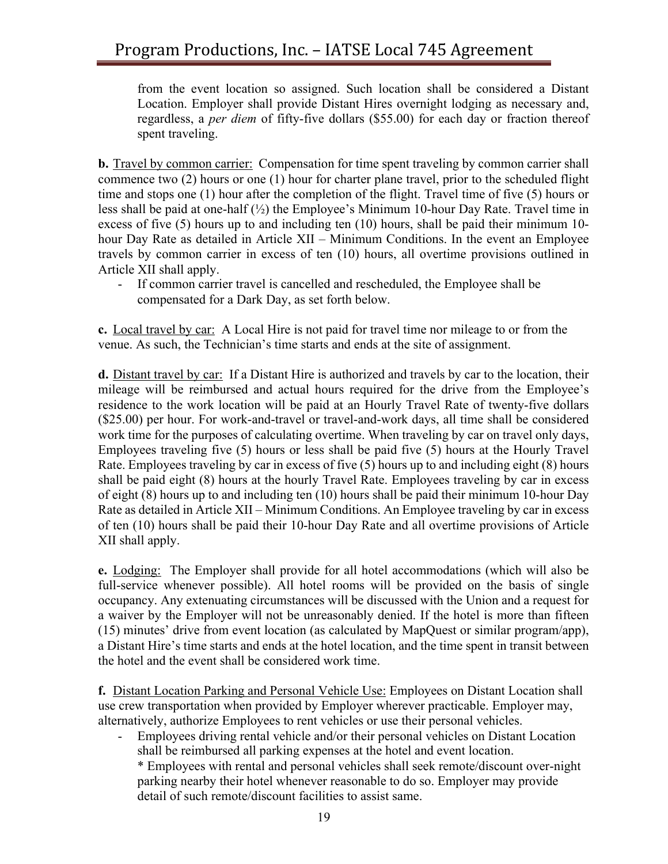from the event location so assigned. Such location shall be considered a Distant Location. Employer shall provide Distant Hires overnight lodging as necessary and, regardless, a *per diem* of fifty-five dollars (\$55.00) for each day or fraction thereof spent traveling.

**b.** Travel by common carrier: Compensation for time spent traveling by common carrier shall commence two (2) hours or one (1) hour for charter plane travel, prior to the scheduled flight time and stops one (1) hour after the completion of the flight. Travel time of five (5) hours or less shall be paid at one-half  $(\frac{1}{2})$  the Employee's Minimum 10-hour Day Rate. Travel time in excess of five (5) hours up to and including ten (10) hours, shall be paid their minimum 10 hour Day Rate as detailed in Article XII – Minimum Conditions. In the event an Employee travels by common carrier in excess of ten (10) hours, all overtime provisions outlined in Article XII shall apply.

- If common carrier travel is cancelled and rescheduled, the Employee shall be compensated for a Dark Day, as set forth below.

**c.** Local travel by car: A Local Hire is not paid for travel time nor mileage to or from the venue. As such, the Technician's time starts and ends at the site of assignment.

**d.** Distant travel by car: If a Distant Hire is authorized and travels by car to the location, their mileage will be reimbursed and actual hours required for the drive from the Employee's residence to the work location will be paid at an Hourly Travel Rate of twenty-five dollars (\$25.00) per hour. For work-and-travel or travel-and-work days, all time shall be considered work time for the purposes of calculating overtime. When traveling by car on travel only days, Employees traveling five (5) hours or less shall be paid five (5) hours at the Hourly Travel Rate. Employees traveling by car in excess of five (5) hours up to and including eight (8) hours shall be paid eight (8) hours at the hourly Travel Rate. Employees traveling by car in excess of eight (8) hours up to and including ten (10) hours shall be paid their minimum 10-hour Day Rate as detailed in Article XII – Minimum Conditions. An Employee traveling by car in excess of ten (10) hours shall be paid their 10-hour Day Rate and all overtime provisions of Article XII shall apply.

**e.** Lodging: The Employer shall provide for all hotel accommodations (which will also be full-service whenever possible). All hotel rooms will be provided on the basis of single occupancy. Any extenuating circumstances will be discussed with the Union and a request for a waiver by the Employer will not be unreasonably denied. If the hotel is more than fifteen (15) minutes' drive from event location (as calculated by MapQuest or similar program/app), a Distant Hire's time starts and ends at the hotel location, and the time spent in transit between the hotel and the event shall be considered work time.

**f.** Distant Location Parking and Personal Vehicle Use: Employees on Distant Location shall use crew transportation when provided by Employer wherever practicable. Employer may, alternatively, authorize Employees to rent vehicles or use their personal vehicles.

- Employees driving rental vehicle and/or their personal vehicles on Distant Location shall be reimbursed all parking expenses at the hotel and event location.

\* Employees with rental and personal vehicles shall seek remote/discount over-night parking nearby their hotel whenever reasonable to do so. Employer may provide detail of such remote/discount facilities to assist same.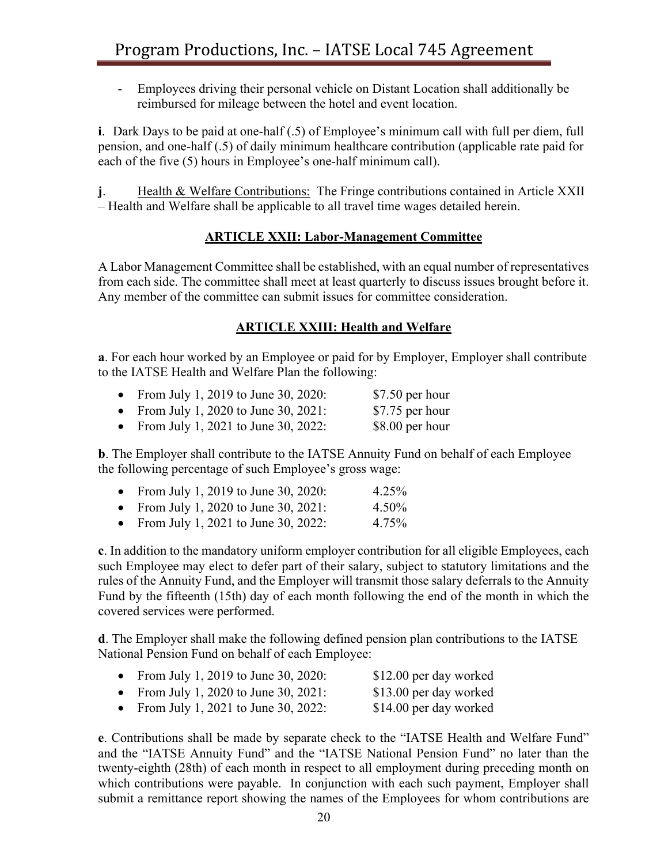- Employees driving their personal vehicle on Distant Location shall additionally be reimbursed for mileage between the hotel and event location.

**i**. Dark Days to be paid at one-half (.5) of Employee's minimum call with full per diem, full pension, and one-half (.5) of daily minimum healthcare contribution (applicable rate paid for each of the five (5) hours in Employee's one-half minimum call).

**j.** Health & Welfare Contributions: The Fringe contributions contained in Article XXII – Health and Welfare shall be applicable to all travel time wages detailed herein.

## **ARTICLE XXII: Labor-Management Committee**

A Labor Management Committee shall be established, with an equal number of representatives from each side. The committee shall meet at least quarterly to discuss issues brought before it. Any member of the committee can submit issues for committee consideration.

## **ARTICLE XXIII: Health and Welfare**

**a**. For each hour worked by an Employee or paid for by Employer, Employer shall contribute to the IATSE Health and Welfare Plan the following:

| From July 1, 2019 to June 30, 2020: | $$7.50$ per hour |
|-------------------------------------|------------------|
| From July 1, 2020 to June 30, 2021: | \$7.75 per hour  |

• From July 1, 2021 to June 30, 2022:  $$8.00$  per hour

**b**. The Employer shall contribute to the IATSE Annuity Fund on behalf of each Employee the following percentage of such Employee's gross wage:

|  |  |  | From July 1, 2019 to June 30, 2020: | 4.25% |
|--|--|--|-------------------------------------|-------|
|--|--|--|-------------------------------------|-------|

- From July 1, 2020 to June 30, 2021: 4.50%
- From July 1, 2021 to June 30, 2022: 4.75%

**c**. In addition to the mandatory uniform employer contribution for all eligible Employees, each such Employee may elect to defer part of their salary, subject to statutory limitations and the rules of the Annuity Fund, and the Employer will transmit those salary deferrals to the Annuity Fund by the fifteenth (15th) day of each month following the end of the month in which the covered services were performed.

**d**. The Employer shall make the following defined pension plan contributions to the IATSE National Pension Fund on behalf of each Employee:

|  | • From July 1, 2019 to June 30, 2020: | \$12.00 per day worked |
|--|---------------------------------------|------------------------|

- From July 1, 2020 to June 30, 2021: \$13.00 per day worked
- From July 1, 2021 to June 30, 2022: \$14.00 per day worked

**e**. Contributions shall be made by separate check to the "IATSE Health and Welfare Fund" and the "IATSE Annuity Fund" and the "IATSE National Pension Fund" no later than the twenty-eighth (28th) of each month in respect to all employment during preceding month on which contributions were payable. In conjunction with each such payment, Employer shall submit a remittance report showing the names of the Employees for whom contributions are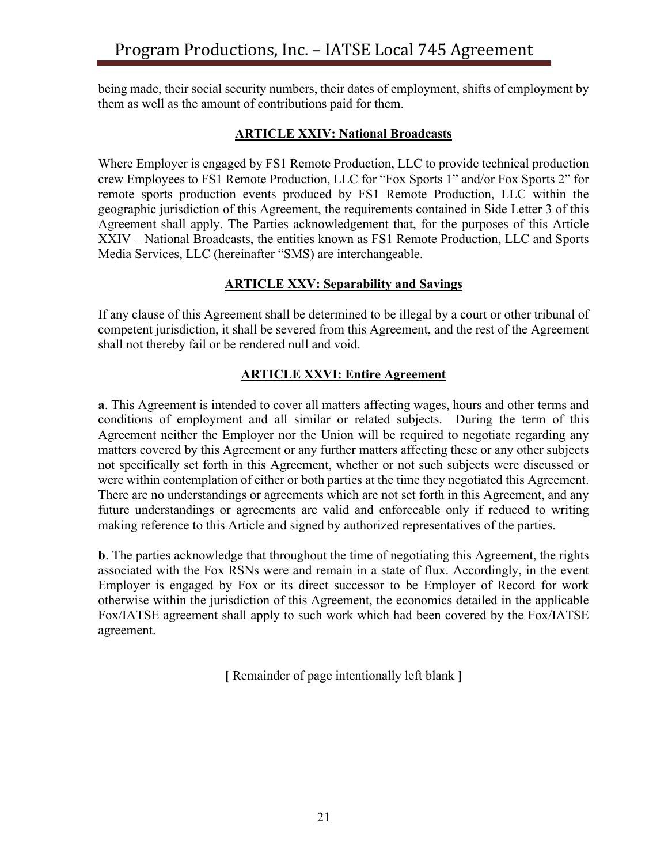being made, their social security numbers, their dates of employment, shifts of employment by them as well as the amount of contributions paid for them.

#### **ARTICLE XXIV: National Broadcasts**

Where Employer is engaged by FS1 Remote Production, LLC to provide technical production crew Employees to FS1 Remote Production, LLC for "Fox Sports 1" and/or Fox Sports 2" for remote sports production events produced by FS1 Remote Production, LLC within the geographic jurisdiction of this Agreement, the requirements contained in Side Letter 3 of this Agreement shall apply. The Parties acknowledgement that, for the purposes of this Article XXIV – National Broadcasts, the entities known as FS1 Remote Production, LLC and Sports Media Services, LLC (hereinafter "SMS) are interchangeable.

## **ARTICLE XXV: Separability and Savings**

If any clause of this Agreement shall be determined to be illegal by a court or other tribunal of competent jurisdiction, it shall be severed from this Agreement, and the rest of the Agreement shall not thereby fail or be rendered null and void.

# **ARTICLE XXVI: Entire Agreement**

**a**. This Agreement is intended to cover all matters affecting wages, hours and other terms and conditions of employment and all similar or related subjects. During the term of this Agreement neither the Employer nor the Union will be required to negotiate regarding any matters covered by this Agreement or any further matters affecting these or any other subjects not specifically set forth in this Agreement, whether or not such subjects were discussed or were within contemplation of either or both parties at the time they negotiated this Agreement. There are no understandings or agreements which are not set forth in this Agreement, and any future understandings or agreements are valid and enforceable only if reduced to writing making reference to this Article and signed by authorized representatives of the parties.

**b**. The parties acknowledge that throughout the time of negotiating this Agreement, the rights associated with the Fox RSNs were and remain in a state of flux. Accordingly, in the event Employer is engaged by Fox or its direct successor to be Employer of Record for work otherwise within the jurisdiction of this Agreement, the economics detailed in the applicable Fox/IATSE agreement shall apply to such work which had been covered by the Fox/IATSE agreement.

**[** Remainder of page intentionally left blank **]**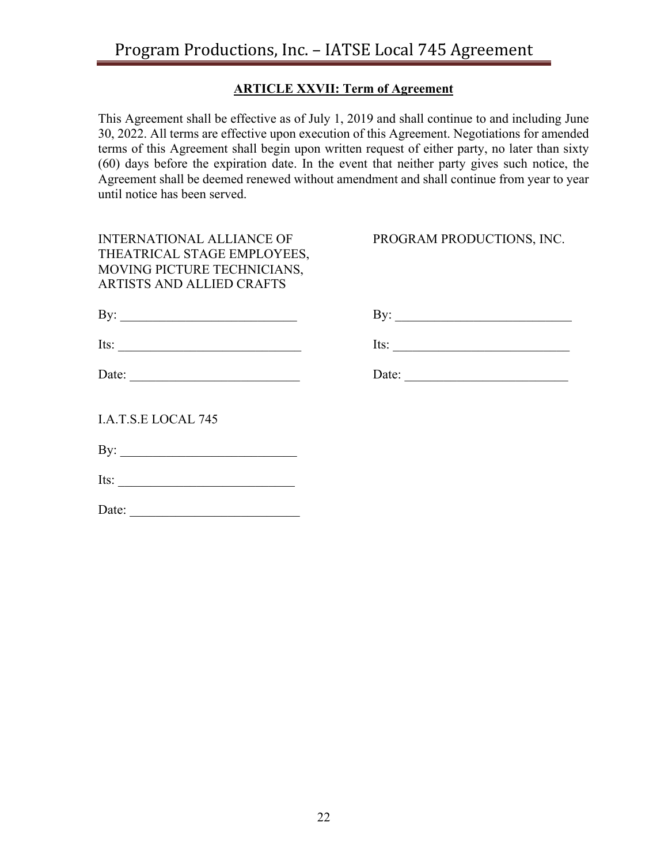# **ARTICLE XXVII: Term of Agreement**

This Agreement shall be effective as of July 1, 2019 and shall continue to and including June 30, 2022. All terms are effective upon execution of this Agreement. Negotiations for amended terms of this Agreement shall begin upon written request of either party, no later than sixty (60) days before the expiration date. In the event that neither party gives such notice, the Agreement shall be deemed renewed without amendment and shall continue from year to year until notice has been served.

| <b>INTERNATIONAL ALLIANCE OF</b><br>THEATRICAL STAGE EMPLOYEES,<br>MOVING PICTURE TECHNICIANS,<br>ARTISTS AND ALLIED CRAFTS | PROGRAM PRODUCTIONS, INC. |
|-----------------------------------------------------------------------------------------------------------------------------|---------------------------|
| By: $\qquad \qquad$                                                                                                         |                           |
|                                                                                                                             | Its: $\qquad \qquad$      |
| Date: $\frac{1}{\sqrt{1-\frac{1}{2}} \cdot \frac{1}{2}}$                                                                    | Date:                     |
| I.A.T.S.E LOCAL 745                                                                                                         |                           |
| By: $\qquad \qquad$                                                                                                         |                           |
|                                                                                                                             |                           |
| Date: $\qquad \qquad$                                                                                                       |                           |
|                                                                                                                             |                           |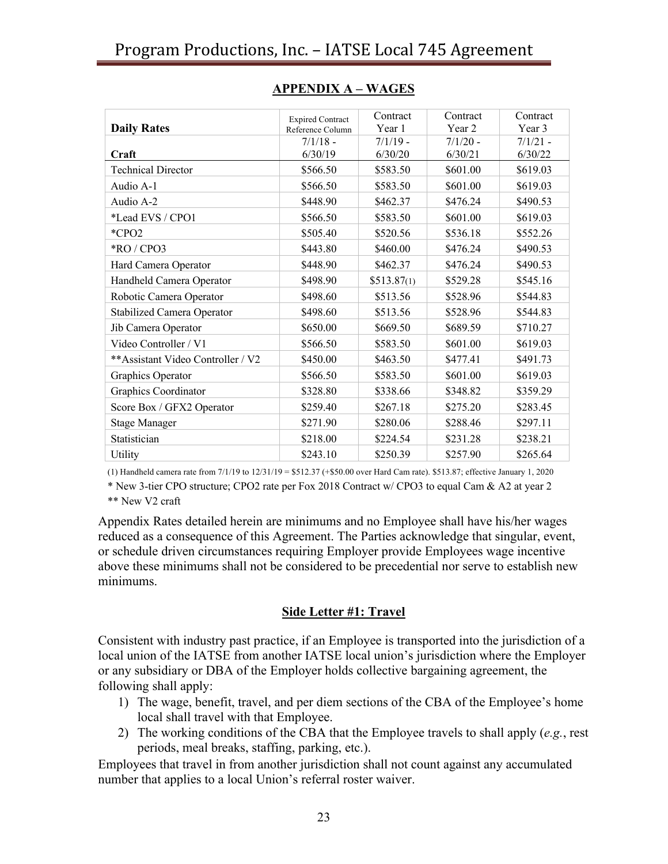|                                   | <b>Expired Contract</b> | Contract    | Contract   | Contract   |
|-----------------------------------|-------------------------|-------------|------------|------------|
| <b>Daily Rates</b>                | Reference Column        | Year 1      | Year 2     | Year 3     |
|                                   | $7/1/18$ -              | $7/1/19$ -  | $7/1/20$ - | $7/1/21$ - |
| Craft                             | 6/30/19                 | 6/30/20     | 6/30/21    | 6/30/22    |
| <b>Technical Director</b>         | \$566.50                | \$583.50    | \$601.00   | \$619.03   |
| Audio A-1                         | \$566.50                | \$583.50    | \$601.00   | \$619.03   |
| Audio A-2                         | \$448.90                | \$462.37    | \$476.24   | \$490.53   |
| *Lead EVS / CPO1                  | \$566.50                | \$583.50    | \$601.00   | \$619.03   |
| $*CPO2$                           | \$505.40                | \$520.56    | \$536.18   | \$552.26   |
| $*RO / CPO3$                      | \$443.80                | \$460.00    | \$476.24   | \$490.53   |
| Hard Camera Operator              | \$448.90                | \$462.37    | \$476.24   | \$490.53   |
| Handheld Camera Operator          | \$498.90                | \$513.87(1) | \$529.28   | \$545.16   |
| Robotic Camera Operator           | \$498.60                | \$513.56    | \$528.96   | \$544.83   |
| Stabilized Camera Operator        | \$498.60                | \$513.56    | \$528.96   | \$544.83   |
| Jib Camera Operator               | \$650.00                | \$669.50    | \$689.59   | \$710.27   |
| Video Controller / V1             | \$566.50                | \$583.50    | \$601.00   | \$619.03   |
| **Assistant Video Controller / V2 | \$450.00                | \$463.50    | \$477.41   | \$491.73   |
| Graphics Operator                 | \$566.50                | \$583.50    | \$601.00   | \$619.03   |
| Graphics Coordinator              | \$328.80                | \$338.66    | \$348.82   | \$359.29   |
| Score Box / GFX2 Operator         | \$259.40                | \$267.18    | \$275.20   | \$283.45   |
| <b>Stage Manager</b>              | \$271.90                | \$280.06    | \$288.46   | \$297.11   |
| Statistician                      | \$218.00                | \$224.54    | \$231.28   | \$238.21   |
| Utility                           | \$243.10                | \$250.39    | \$257.90   | \$265.64   |

## **APPENDIX A – WAGES**

(1) Handheld camera rate from 7/1/19 to 12/31/19 = \$512.37 (+\$50.00 over Hard Cam rate). \$513.87; effective January 1, 2020

\* New 3-tier CPO structure; CPO2 rate per Fox 2018 Contract w/ CPO3 to equal Cam & A2 at year 2 \*\* New V2 craft

Appendix Rates detailed herein are minimums and no Employee shall have his/her wages reduced as a consequence of this Agreement. The Parties acknowledge that singular, event, or schedule driven circumstances requiring Employer provide Employees wage incentive above these minimums shall not be considered to be precedential nor serve to establish new minimums.

# **Side Letter #1: Travel**

Consistent with industry past practice, if an Employee is transported into the jurisdiction of a local union of the IATSE from another IATSE local union's jurisdiction where the Employer or any subsidiary or DBA of the Employer holds collective bargaining agreement, the following shall apply:

- 1) The wage, benefit, travel, and per diem sections of the CBA of the Employee's home local shall travel with that Employee.
- 2) The working conditions of the CBA that the Employee travels to shall apply (*e.g.*, rest periods, meal breaks, staffing, parking, etc.).

Employees that travel in from another jurisdiction shall not count against any accumulated number that applies to a local Union's referral roster waiver.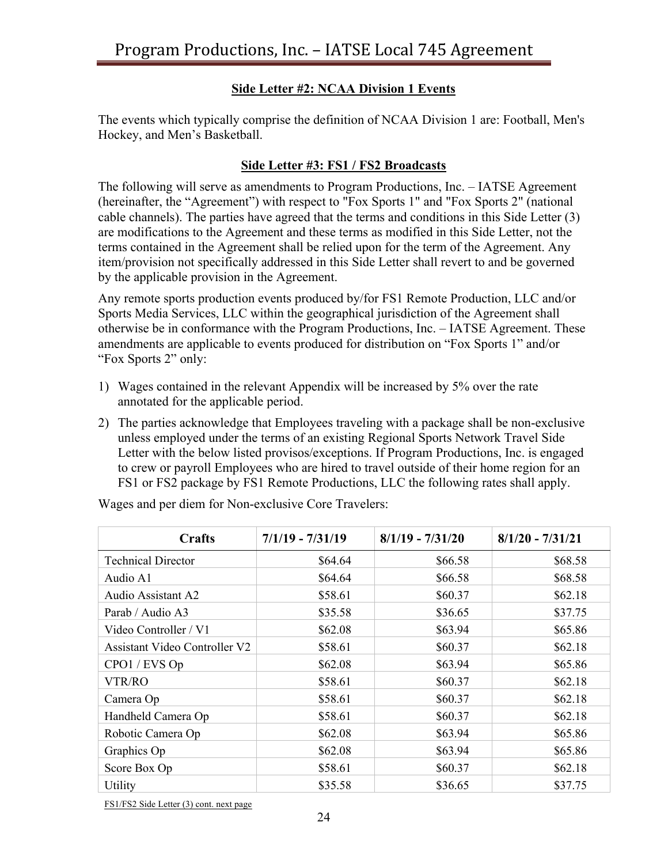# **Side Letter #2: NCAA Division 1 Events**

The events which typically comprise the definition of NCAA Division 1 are: Football, Men's Hockey, and Men's Basketball.

# **Side Letter #3: FS1 / FS2 Broadcasts**

The following will serve as amendments to Program Productions, Inc. – IATSE Agreement (hereinafter, the "Agreement") with respect to "Fox Sports 1" and "Fox Sports 2" (national cable channels). The parties have agreed that the terms and conditions in this Side Letter (3) are modifications to the Agreement and these terms as modified in this Side Letter, not the terms contained in the Agreement shall be relied upon for the term of the Agreement. Any item/provision not specifically addressed in this Side Letter shall revert to and be governed by the applicable provision in the Agreement.

Any remote sports production events produced by/for FS1 Remote Production, LLC and/or Sports Media Services, LLC within the geographical jurisdiction of the Agreement shall otherwise be in conformance with the Program Productions, Inc. – IATSE Agreement. These amendments are applicable to events produced for distribution on "Fox Sports 1" and/or "Fox Sports 2" only:

- 1) Wages contained in the relevant Appendix will be increased by 5% over the rate annotated for the applicable period.
- 2) The parties acknowledge that Employees traveling with a package shall be non-exclusive unless employed under the terms of an existing Regional Sports Network Travel Side Letter with the below listed provisos/exceptions. If Program Productions, Inc. is engaged to crew or payroll Employees who are hired to travel outside of their home region for an FS1 or FS2 package by FS1 Remote Productions, LLC the following rates shall apply.

| Crafts                        | $7/1/19 - 7/31/19$ | $8/1/19 - 7/31/20$ | $8/1/20 - 7/31/21$ |
|-------------------------------|--------------------|--------------------|--------------------|
| <b>Technical Director</b>     | \$64.64            | \$66.58            | \$68.58            |
| Audio A1                      | \$64.64            | \$66.58            | \$68.58            |
| Audio Assistant A2            | \$58.61            | \$60.37            | \$62.18            |
| Parab / Audio A3              | \$35.58            | \$36.65            | \$37.75            |
| Video Controller / V1         | \$62.08            | \$63.94            | \$65.86            |
| Assistant Video Controller V2 | \$58.61            | \$60.37            | \$62.18            |
| CPO1 / EVS Op                 | \$62.08            | \$63.94            | \$65.86            |
| <b>VTR/RO</b>                 | \$58.61            | \$60.37            | \$62.18            |
| Camera Op                     | \$58.61            | \$60.37            | \$62.18            |
| Handheld Camera Op            | \$58.61            | \$60.37            | \$62.18            |
| Robotic Camera Op             | \$62.08            | \$63.94            | \$65.86            |
| Graphics Op                   | \$62.08            | \$63.94            | \$65.86            |
| Score Box Op                  | \$58.61            | \$60.37            | \$62.18            |
| Utility                       | \$35.58            | \$36.65            | \$37.75            |

Wages and per diem for Non-exclusive Core Travelers:

FS1/FS2 Side Letter (3) cont. next page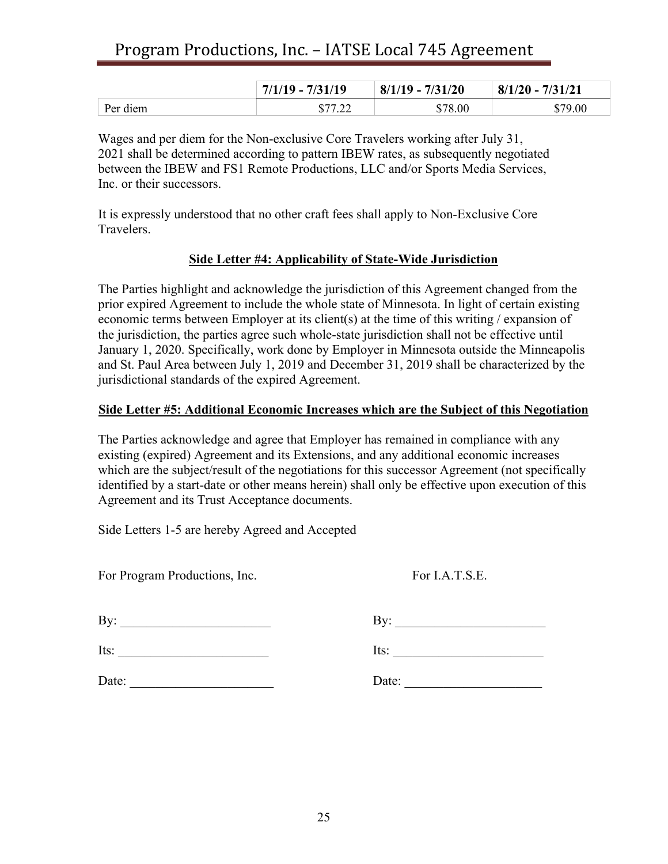|          | $7/1/19 - 7/31/19$ | $8/1/19 - 7/31/20$ | $8/1/20 - 7/31/21$ |
|----------|--------------------|--------------------|--------------------|
| Per diem | \$77.22<br>.∠∠     | \$78.00            | \$79.00            |

Wages and per diem for the Non-exclusive Core Travelers working after July 31, 2021 shall be determined according to pattern IBEW rates, as subsequently negotiated between the IBEW and FS1 Remote Productions, LLC and/or Sports Media Services, Inc. or their successors.

It is expressly understood that no other craft fees shall apply to Non-Exclusive Core Travelers.

#### **Side Letter #4: Applicability of State-Wide Jurisdiction**

The Parties highlight and acknowledge the jurisdiction of this Agreement changed from the prior expired Agreement to include the whole state of Minnesota. In light of certain existing economic terms between Employer at its client(s) at the time of this writing / expansion of the jurisdiction, the parties agree such whole-state jurisdiction shall not be effective until January 1, 2020. Specifically, work done by Employer in Minnesota outside the Minneapolis and St. Paul Area between July 1, 2019 and December 31, 2019 shall be characterized by the jurisdictional standards of the expired Agreement.

#### **Side Letter #5: Additional Economic Increases which are the Subject of this Negotiation**

The Parties acknowledge and agree that Employer has remained in compliance with any existing (expired) Agreement and its Extensions, and any additional economic increases which are the subject/result of the negotiations for this successor Agreement (not specifically identified by a start-date or other means herein) shall only be effective upon execution of this Agreement and its Trust Acceptance documents.

Side Letters 1-5 are hereby Agreed and Accepted

For Program Productions, Inc. For I.A.T.S.E.

| By:   | By:   |
|-------|-------|
| Its:  | Its:  |
| Date: | Date: |